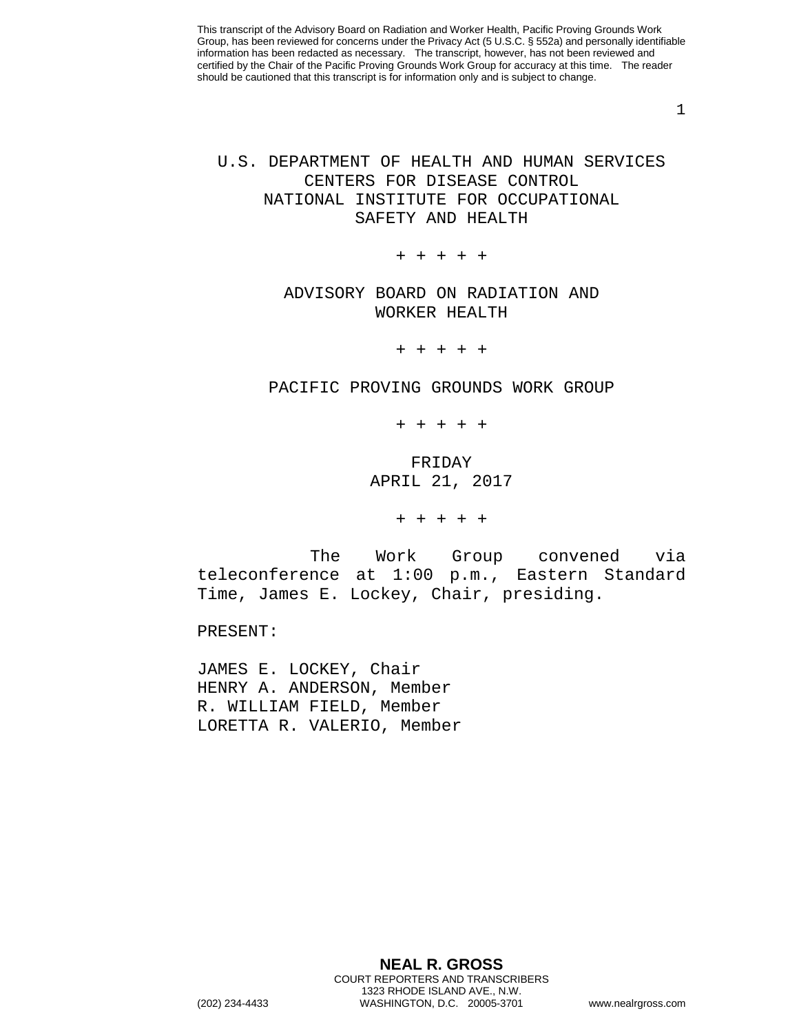1

## U.S. DEPARTMENT OF HEALTH AND HUMAN SERVICES CENTERS FOR DISEASE CONTROL NATIONAL INSTITUTE FOR OCCUPATIONAL SAFETY AND HEALTH

+ + + + +

## ADVISORY BOARD ON RADIATION AND WORKER HEALTH

+ + + + +

PACIFIC PROVING GROUNDS WORK GROUP

+ + + + +

FRIDAY APRIL 21, 2017

+ + + + +

The Work Group convened via teleconference at 1:00 p.m., Eastern Standard Time, James E. Lockey, Chair, presiding.

PRESENT:

JAMES E. LOCKEY, Chair HENRY A. ANDERSON, Member R. WILLIAM FIELD, Member LORETTA R. VALERIO, Member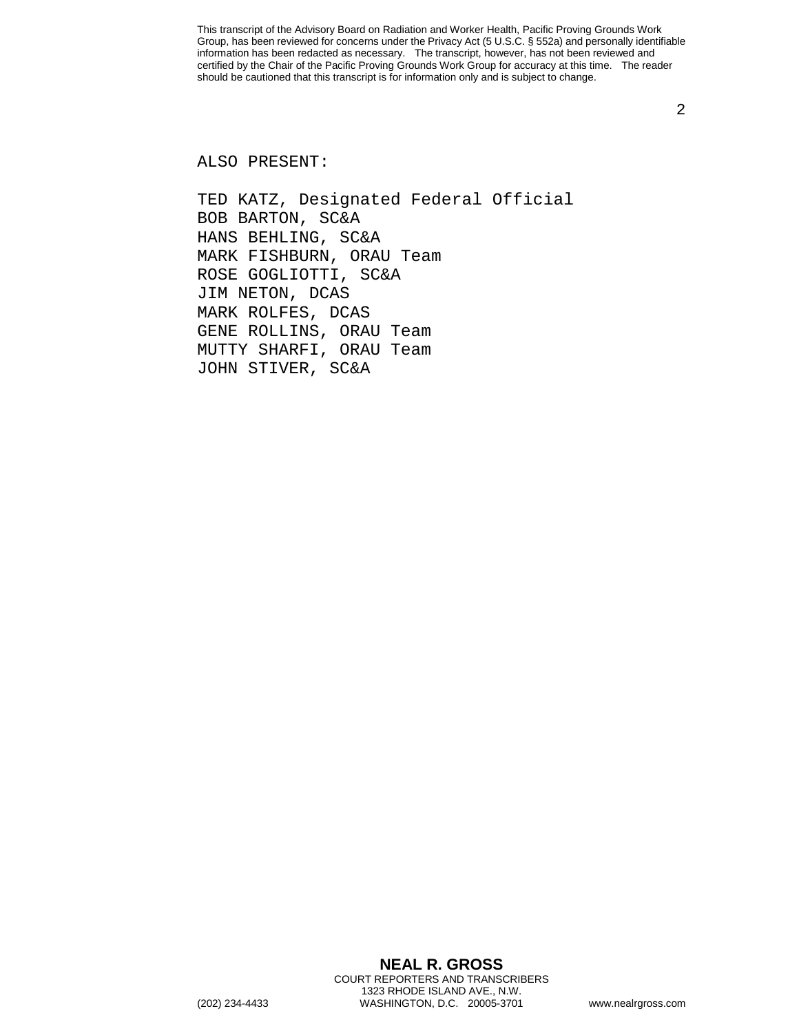2

ALSO PRESENT:

TED KATZ, Designated Federal Official BOB BARTON, SC&A HANS BEHLING, SC&A MARK FISHBURN, ORAU Team ROSE GOGLIOTTI, SC&A JIM NETON, DCAS MARK ROLFES, DCAS GENE ROLLINS, ORAU Team MUTTY SHARFI, ORAU Team JOHN STIVER, SC&A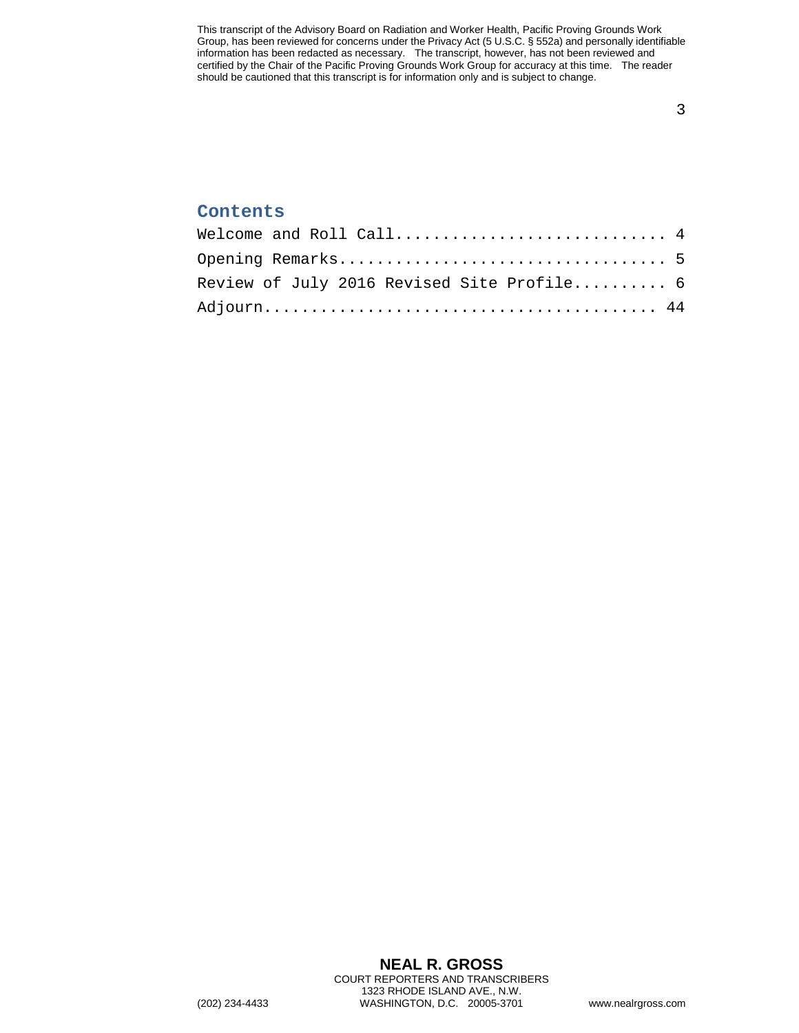3

## **Contents**

| Welcome and Roll Call $4$                  |  |
|--------------------------------------------|--|
|                                            |  |
| Review of July 2016 Revised Site Profile 6 |  |
|                                            |  |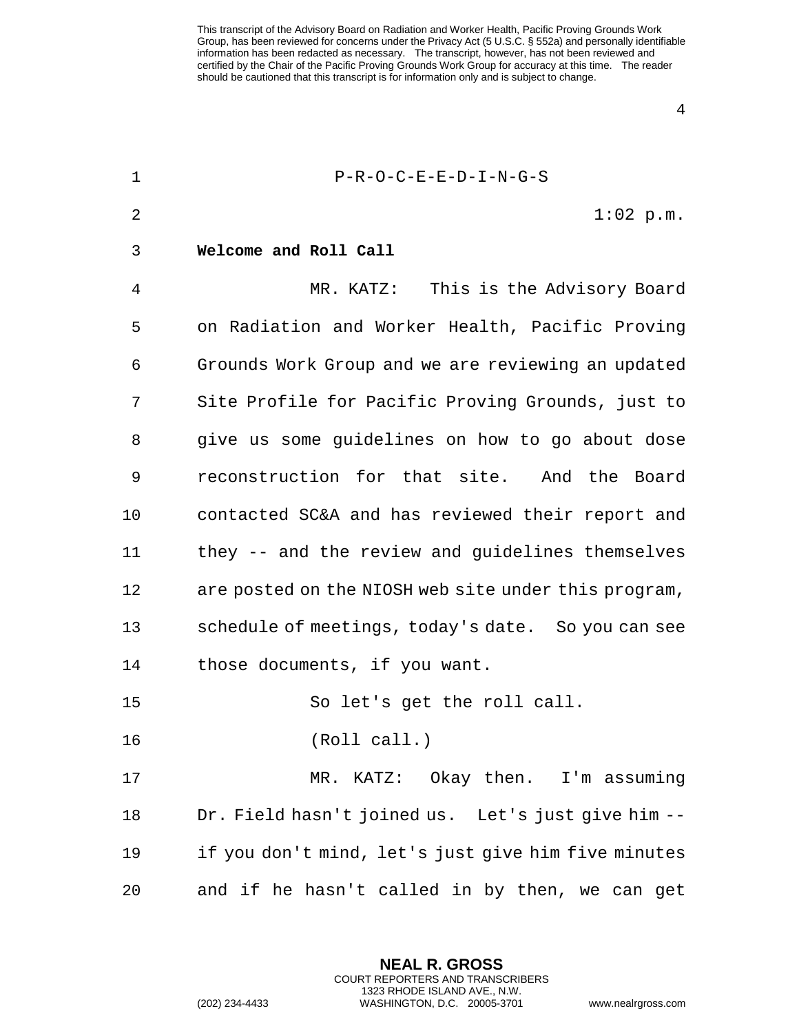4

<span id="page-3-0"></span>

| $\mathbf 1$    | $P-R-O-C-E-E-D-I-N-G-S$                              |
|----------------|------------------------------------------------------|
| $\overline{2}$ | $1:02$ p.m.                                          |
| 3              | Welcome and Roll Call                                |
| 4              | MR. KATZ: This is the Advisory Board                 |
| 5              | on Radiation and Worker Health, Pacific Proving      |
| 6              | Grounds Work Group and we are reviewing an updated   |
| 7              | Site Profile for Pacific Proving Grounds, just to    |
| 8              | give us some guidelines on how to go about dose      |
| 9              | reconstruction for that site. And the Board          |
| 10             | contacted SC&A and has reviewed their report and     |
| 11             | they -- and the review and guidelines themselves     |
| 12             | are posted on the NIOSH web site under this program, |
| 13             | schedule of meetings, today's date. So you can see   |
| 14             | those documents, if you want.                        |
| 15             | So let's get the roll call.                          |
| 16             | (Roll call.)                                         |
| 17             | MR. KATZ: Okay then. I'm assuming                    |
| 18             | Dr. Field hasn't joined us. Let's just give him --   |
| 19             | if you don't mind, let's just give him five minutes  |
| 20             | and if he hasn't called in by then, we can get       |

**NEAL R. GROSS** COURT REPORTERS AND TRANSCRIBERS 1323 RHODE ISLAND AVE., N.W.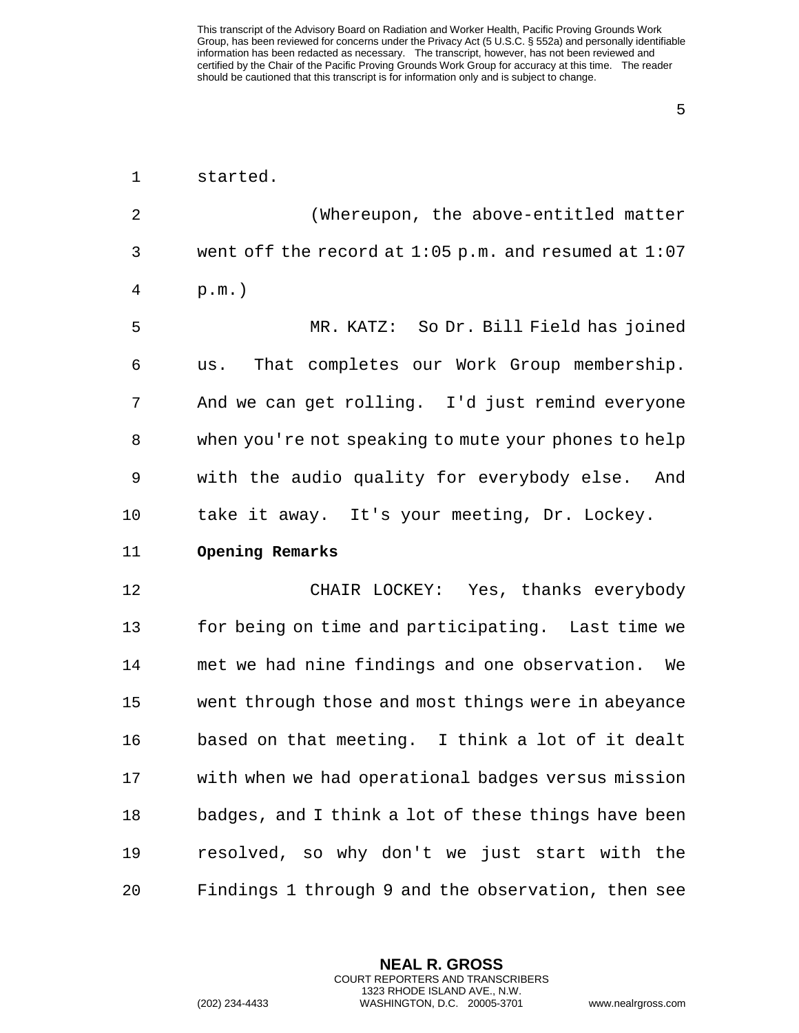5

<span id="page-4-0"></span>

| $\mathbf 1$    | started.                                                 |
|----------------|----------------------------------------------------------|
| $\overline{2}$ | (Whereupon, the above-entitled matter                    |
| 3              | went off the record at $1:05$ p.m. and resumed at $1:07$ |
| 4              | $p.m.$ )                                                 |
| 5              | MR. KATZ: So Dr. Bill Field has joined                   |
| 6              | That completes our Work Group membership.<br>us.         |
| 7              | And we can get rolling. I'd just remind everyone         |
| 8              | when you're not speaking to mute your phones to help     |
| 9              | with the audio quality for everybody else.<br>And        |
| 10             | take it away. It's your meeting, Dr. Lockey.             |
| 11             | Opening Remarks                                          |
| 12             | CHAIR LOCKEY: Yes, thanks everybody                      |
| 13             | for being on time and participating. Last time we        |
| 14             | met we had nine findings and one observation.<br>We      |
| 15             | went through those and most things were in abeyance      |
| 16             | based on that meeting. I think a lot of it dealt         |
| 17             | with when we had operational badges versus mission       |
| 18             | badges, and I think a lot of these things have been      |
| 19             | resolved, so why don't we just start with the            |
| 20             | Findings 1 through 9 and the observation, then see       |

**NEAL R. GROSS** COURT REPORTERS AND TRANSCRIBERS 1323 RHODE ISLAND AVE., N.W.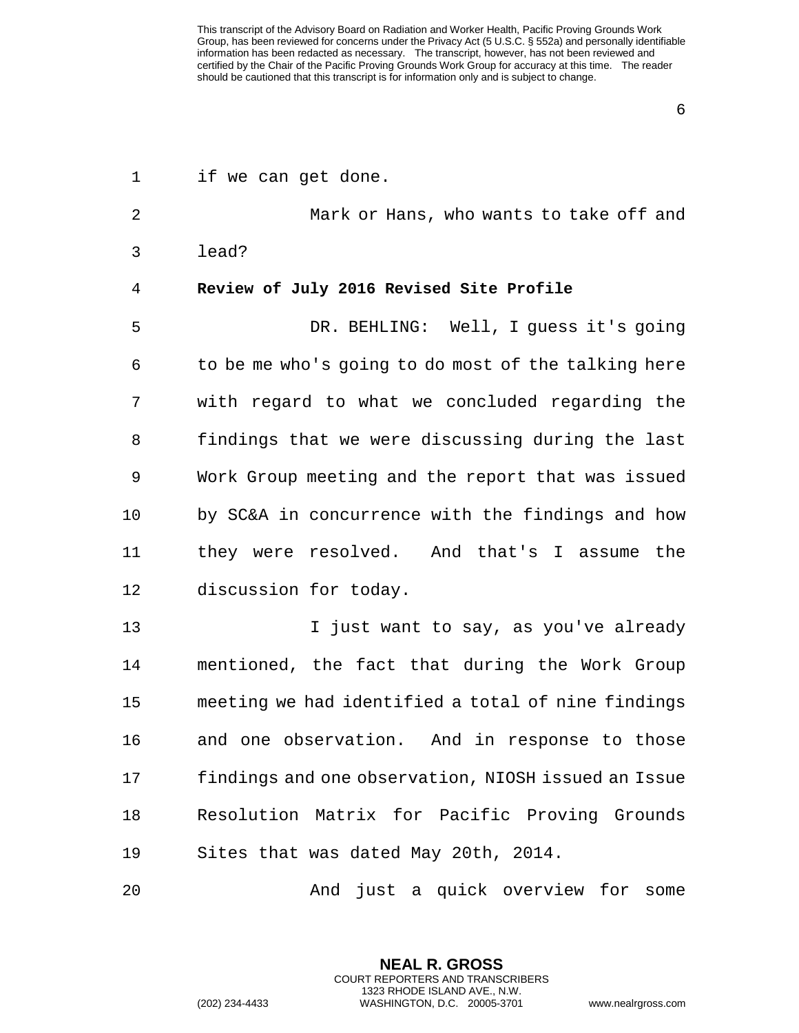6

<span id="page-5-0"></span>

| $\mathbf 1$ | if we can get done.                                 |
|-------------|-----------------------------------------------------|
| 2           | Mark or Hans, who wants to take off and             |
| 3           | lead?                                               |
| 4           | Review of July 2016 Revised Site Profile            |
| 5           | DR. BEHLING: Well, I guess it's going               |
| 6           | to be me who's going to do most of the talking here |
| 7           | with regard to what we concluded regarding the      |
| 8           | findings that we were discussing during the last    |
| 9           | Work Group meeting and the report that was issued   |
| 10          | by SC&A in concurrence with the findings and how    |
| 11          | they were resolved. And that's I assume the         |
| 12          | discussion for today.                               |
| 13          | I just want to say, as you've already               |
| 14          | mentioned, the fact that during the Work Group      |
| 15          | meeting we had identified a total of nine findings  |
| 16          | and one observation.<br>And in response to those    |
| 17          | findings and one observation, NIOSH issued an Issue |
| 18          | Resolution Matrix for Pacific Proving Grounds       |
| 19          | Sites that was dated May 20th, 2014.                |
| 20          | just a quick overview for<br>And<br>some            |

**NEAL R. GROSS** COURT REPORTERS AND TRANSCRIBERS 1323 RHODE ISLAND AVE., N.W.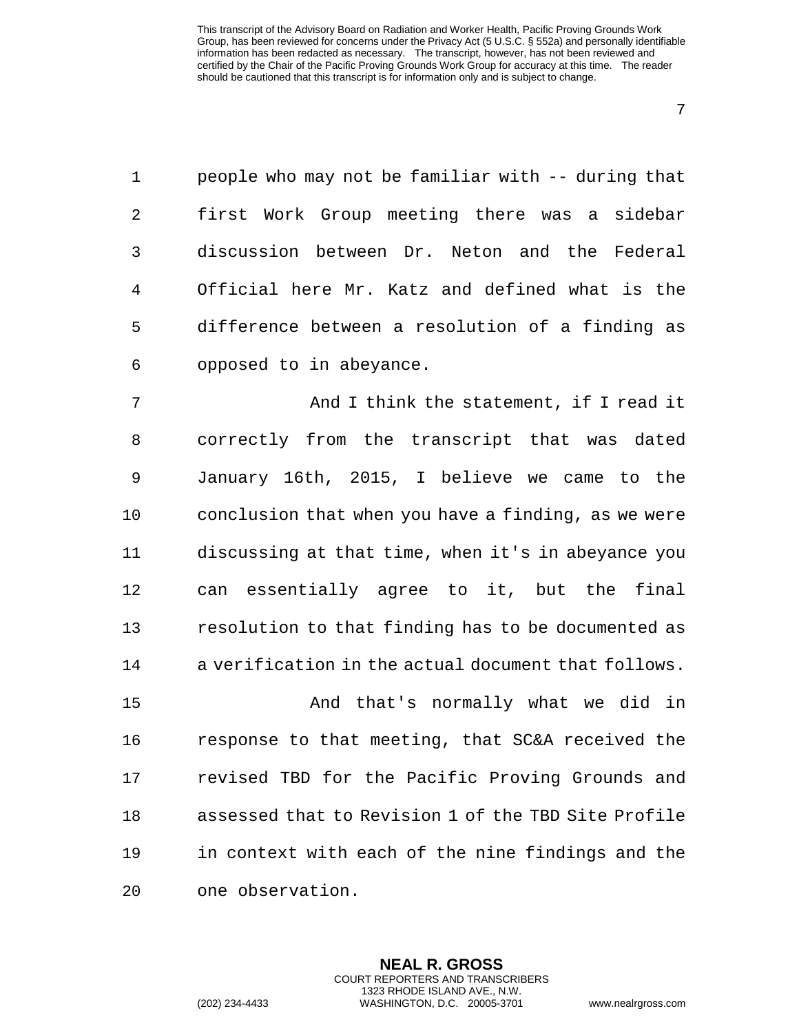7

1 people who may not be familiar with -- during that 2 first Work Group meeting there was a sidebar 3 discussion between Dr. Neton and the Federal 4 Official here Mr. Katz and defined what is the 5 difference between a resolution of a finding as 6 opposed to in abeyance.

7 And I think the statement, if I read it 8 correctly from the transcript that was dated 9 January 16th, 2015, I believe we came to the 10 conclusion that when you have a finding, as we were 11 discussing at that time, when it's in abeyance you 12 can essentially agree to it, but the final 13 resolution to that finding has to be documented as 14 a verification in the actual document that follows.

15 And that's normally what we did in 16 response to that meeting, that SC&A received the 17 revised TBD for the Pacific Proving Grounds and 18 assessed that to Revision 1 of the TBD Site Profile 19 in context with each of the nine findings and the 20 one observation.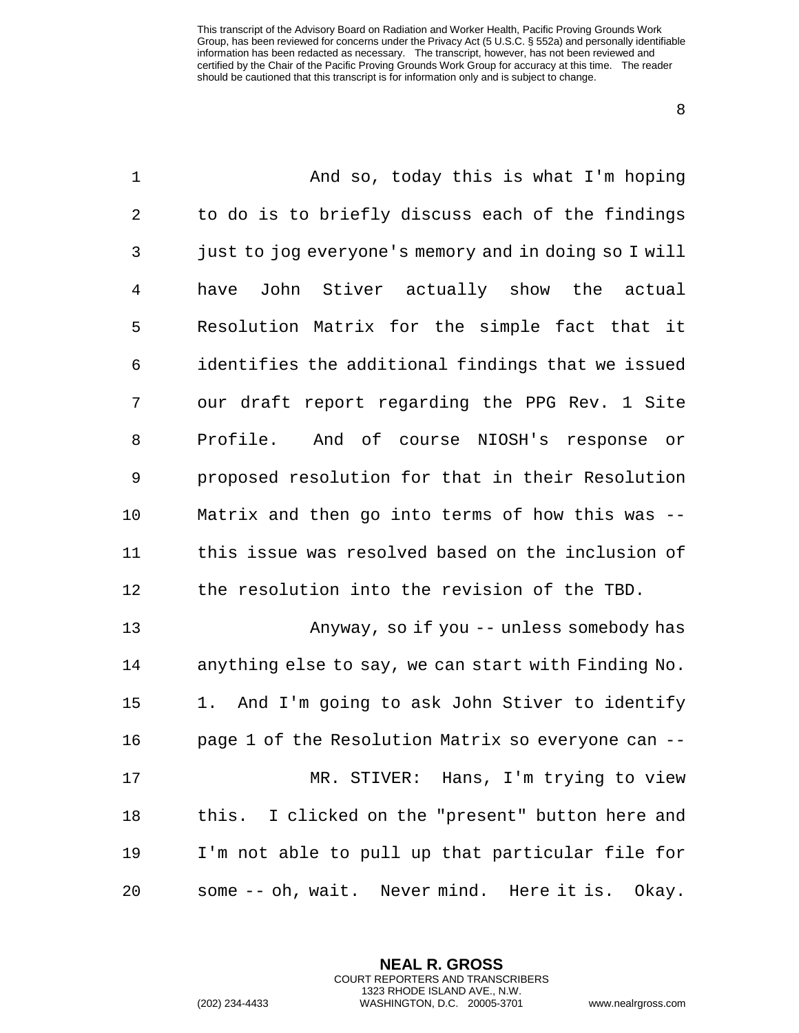| $\mathbf 1$ | And so, today this is what I'm hoping                |
|-------------|------------------------------------------------------|
| 2           | to do is to briefly discuss each of the findings     |
| 3           | just to jog everyone's memory and in doing so I will |
| 4           | John Stiver actually show the actual<br>have         |
| 5           | Resolution Matrix for the simple fact that it        |
| 6           | identifies the additional findings that we issued    |
| 7           | our draft report regarding the PPG Rev. 1 Site       |
| 8           | Profile. And of course NIOSH's response<br>or        |
| 9           | proposed resolution for that in their Resolution     |
| 10          | Matrix and then go into terms of how this was --     |
| 11          | this issue was resolved based on the inclusion of    |
| 12          | the resolution into the revision of the TBD.         |
| 13          | Anyway, so if you -- unless somebody has             |
| 14          | anything else to say, we can start with Finding No.  |
| 15          | And I'm going to ask John Stiver to identify<br>1.   |
| 16          | page 1 of the Resolution Matrix so everyone can --   |
| 17          | MR. STIVER: Hans, I'm trying to view                 |
| 18          | this. I clicked on the "present" button here and     |
| 19          | I'm not able to pull up that particular file for     |
| 20          | some -- oh, wait. Never mind. Here it is. Okay.      |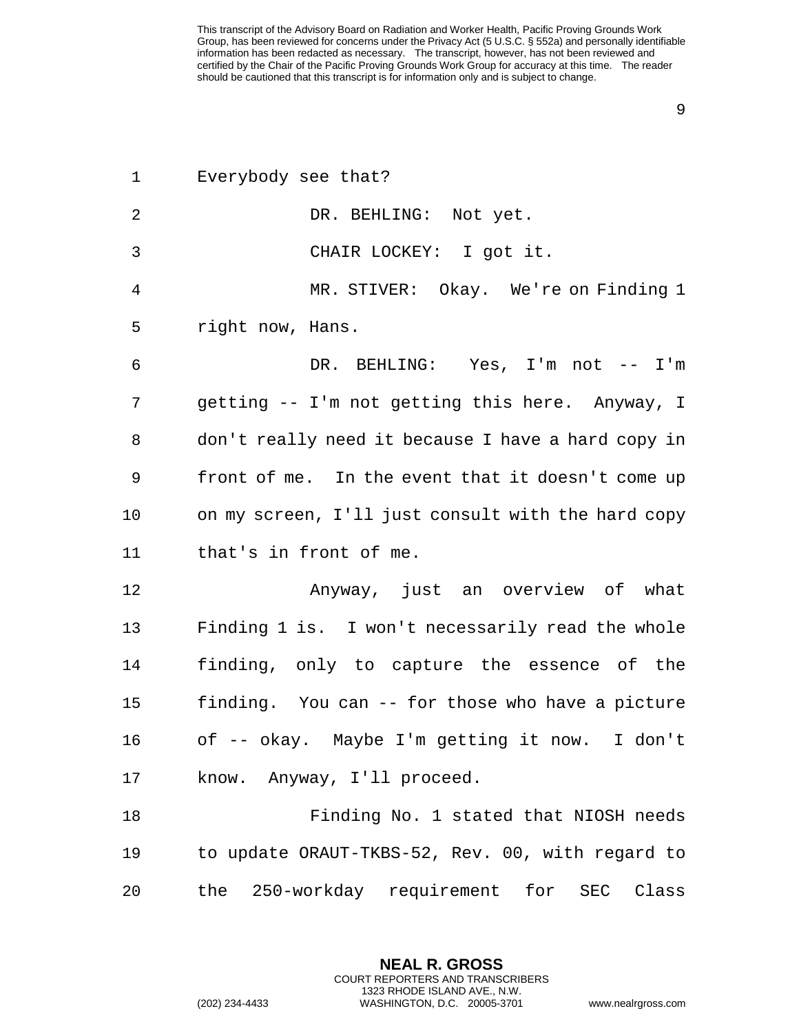| 1       | Everybody see that?                                |
|---------|----------------------------------------------------|
| 2       | DR. BEHLING: Not yet.                              |
| 3       | CHAIR LOCKEY: I got it.                            |
| 4       | MR. STIVER: Okay. We're on Finding 1               |
| 5       | right now, Hans.                                   |
| 6       | DR. BEHLING: Yes, I'm not -- I'm                   |
| 7       | getting -- I'm not getting this here. Anyway, I    |
| 8       | don't really need it because I have a hard copy in |
| 9       | front of me. In the event that it doesn't come up  |
| $10 \,$ | on my screen, I'll just consult with the hard copy |
| 11      | that's in front of me.                             |
| 12      | Anyway, just an overview of what                   |
| 13      | Finding 1 is. I won't necessarily read the whole   |
| 14      | finding, only to capture the essence of the        |
| 15      | finding. You can -- for those who have a picture   |
| 16      | of -- okay. Maybe I'm getting it now. I don't      |
| 17      | know. Anyway, I'll proceed.                        |
| 18      | Finding No. 1 stated that NIOSH needs              |
| 19      | to update ORAUT-TKBS-52, Rev. 00, with regard to   |
| 20      | the 250-workday requirement for SEC<br>Class       |

**NEAL R. GROSS** COURT REPORTERS AND TRANSCRIBERS 1323 RHODE ISLAND AVE., N.W.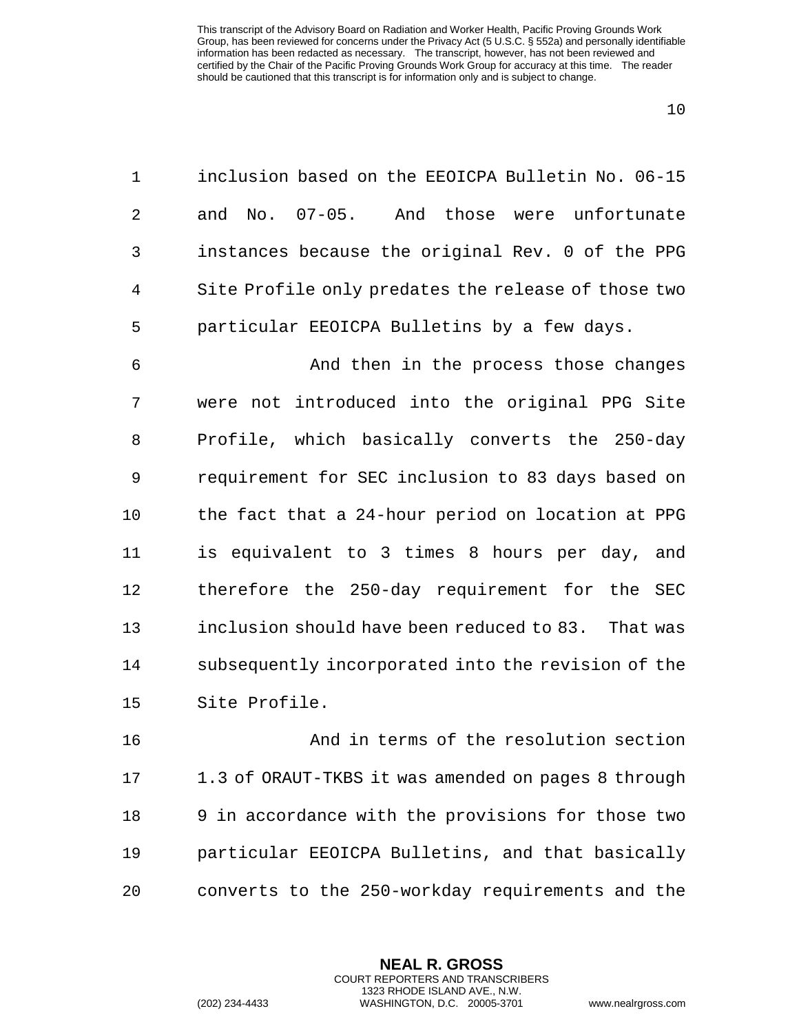| $\mathbf{1}$   | inclusion based on the EEOICPA Bulletin No. 06-15   |
|----------------|-----------------------------------------------------|
| $2^{\circ}$    | and No. 07-05. And those were unfortunate           |
| 3 <sup>7</sup> | instances because the original Rev. 0 of the PPG    |
| 4              | Site Profile only predates the release of those two |
| 5              | particular EEOICPA Bulletins by a few days.         |

 And then in the process those changes were not introduced into the original PPG Site Profile, which basically converts the 250-day requirement for SEC inclusion to 83 days based on the fact that a 24-hour period on location at PPG is equivalent to 3 times 8 hours per day, and therefore the 250-day requirement for the SEC inclusion should have been reduced to 83. That was subsequently incorporated into the revision of the Site Profile.

 And in terms of the resolution section 1.3 of ORAUT-TKBS it was amended on pages 8 through 9 in accordance with the provisions for those two particular EEOICPA Bulletins, and that basically converts to the 250-workday requirements and the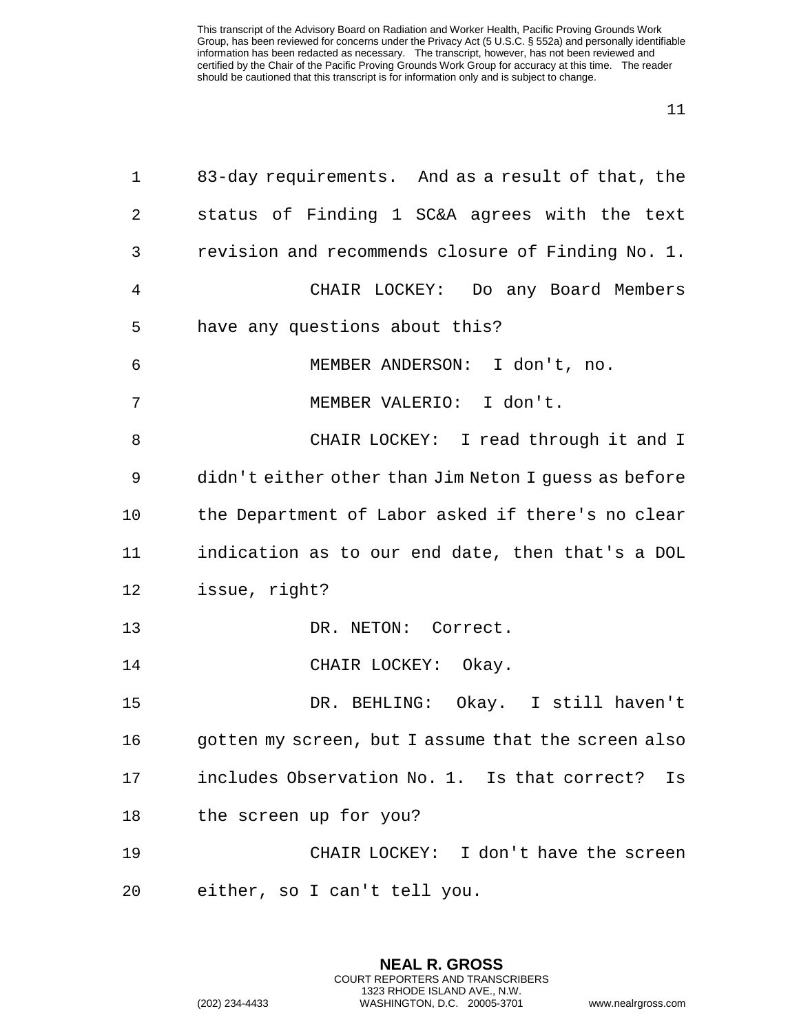| $\mathbf 1$    | 83-day requirements. And as a result of that, the    |
|----------------|------------------------------------------------------|
| $\overline{2}$ | status of Finding 1 SC&A agrees with the text        |
| 3              | revision and recommends closure of Finding No. 1.    |
| $\overline{4}$ | CHAIR LOCKEY: Do any Board Members                   |
| 5              | have any questions about this?                       |
| 6              | MEMBER ANDERSON: I don't, no.                        |
| 7              | MEMBER VALERIO: I don't.                             |
| 8              | CHAIR LOCKEY: I read through it and I                |
| 9              | didn't either other than Jim Neton I guess as before |
| 10             | the Department of Labor asked if there's no clear    |
| 11             | indication as to our end date, then that's a DOL     |
| 12             | issue, right?                                        |
| 13             | DR. NETON: Correct.                                  |
| 14             | CHAIR LOCKEY: Okay.                                  |
| 15             | DR. BEHLING: Okay. I still haven't                   |
| 16             | gotten my screen, but I assume that the screen also  |
| 17             | includes Observation No. 1. Is that correct? Is      |
| 18             | the screen up for you?                               |
| 19             | CHAIR LOCKEY: I don't have the screen                |
| 20             | either, so I can't tell you.                         |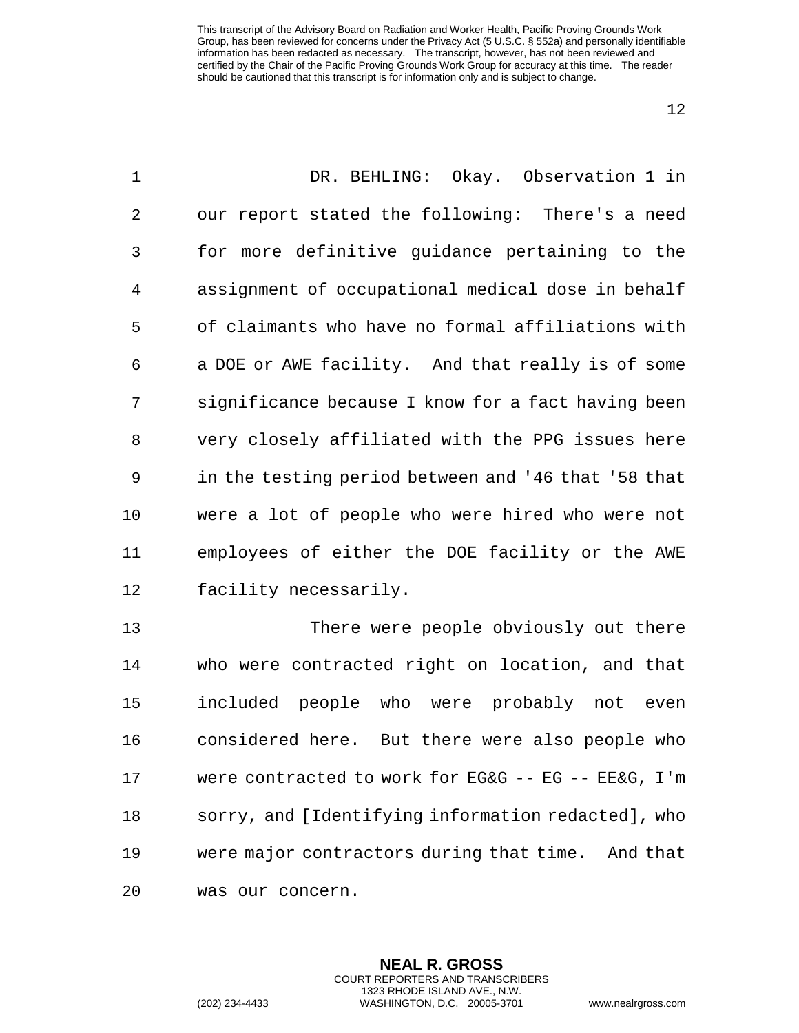| $\mathbf 1$ | DR. BEHLING: Okay. Observation 1 in                 |
|-------------|-----------------------------------------------------|
| 2           | our report stated the following: There's a need     |
| 3           | for more definitive guidance pertaining to the      |
| 4           | assignment of occupational medical dose in behalf   |
| 5           | of claimants who have no formal affiliations with   |
| 6           | a DOE or AWE facility. And that really is of some   |
| 7           | significance because I know for a fact having been  |
| 8           | very closely affiliated with the PPG issues here    |
| 9           | in the testing period between and '46 that '58 that |
| 10          | were a lot of people who were hired who were not    |
| 11          | employees of either the DOE facility or the AWE     |
| 12          | facility necessarily.                               |
| 13          | There were people obviously out there               |
| 14          | who were contracted right on location, and that     |
| 15          | included<br>people who were probably not<br>even    |
| 16          | considered here. But there were also people who     |
| 17          | were contracted to work for EG&G -- EG -- EE&G, I'm |
| 18          | sorry, and [Identifying information redacted], who  |
| 19          | were major contractors during that time. And that   |

was our concern.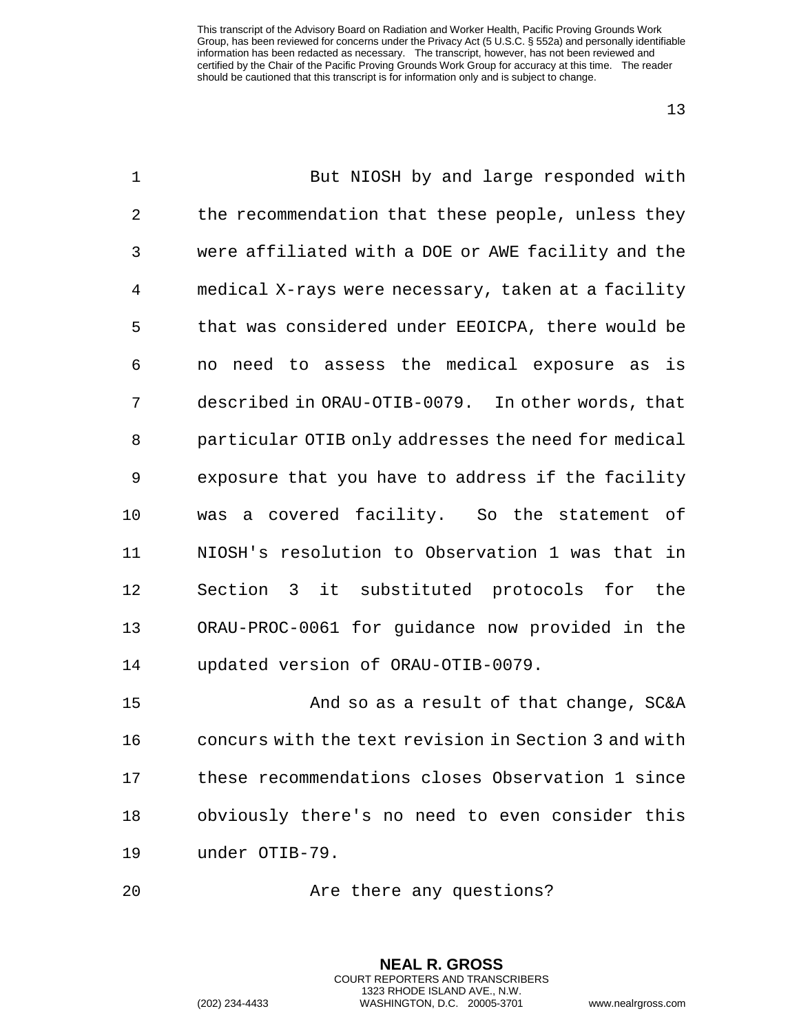| $\mathbf 1$ | But NIOSH by and large responded with                |
|-------------|------------------------------------------------------|
| 2           | the recommendation that these people, unless they    |
| 3           | were affiliated with a DOE or AWE facility and the   |
| 4           | medical X-rays were necessary, taken at a facility   |
| 5           | that was considered under EEOICPA, there would be    |
| 6           | need to assess the medical exposure as<br>is<br>no   |
| 7           | described in ORAU-OTIB-0079. In other words, that    |
| 8           | particular OTIB only addresses the need for medical  |
| 9           | exposure that you have to address if the facility    |
| 10          | a covered facility. So the statement<br>of<br>was    |
| 11          | NIOSH's resolution to Observation 1 was that in      |
| 12          | Section 3<br>it substituted protocols<br>for<br>the  |
| 13          | ORAU-PROC-0061 for guidance now provided in the      |
| 14          | updated version of ORAU-OTIB-0079.                   |
| 15          | And so as a result of that change, SC&A              |
| 16          | concurs with the text revision in Section 3 and with |
| 17          | these recommendations closes Observation 1 since     |
| 18          | obviously there's no need to even consider this      |

under OTIB-79.

20 Are there any questions?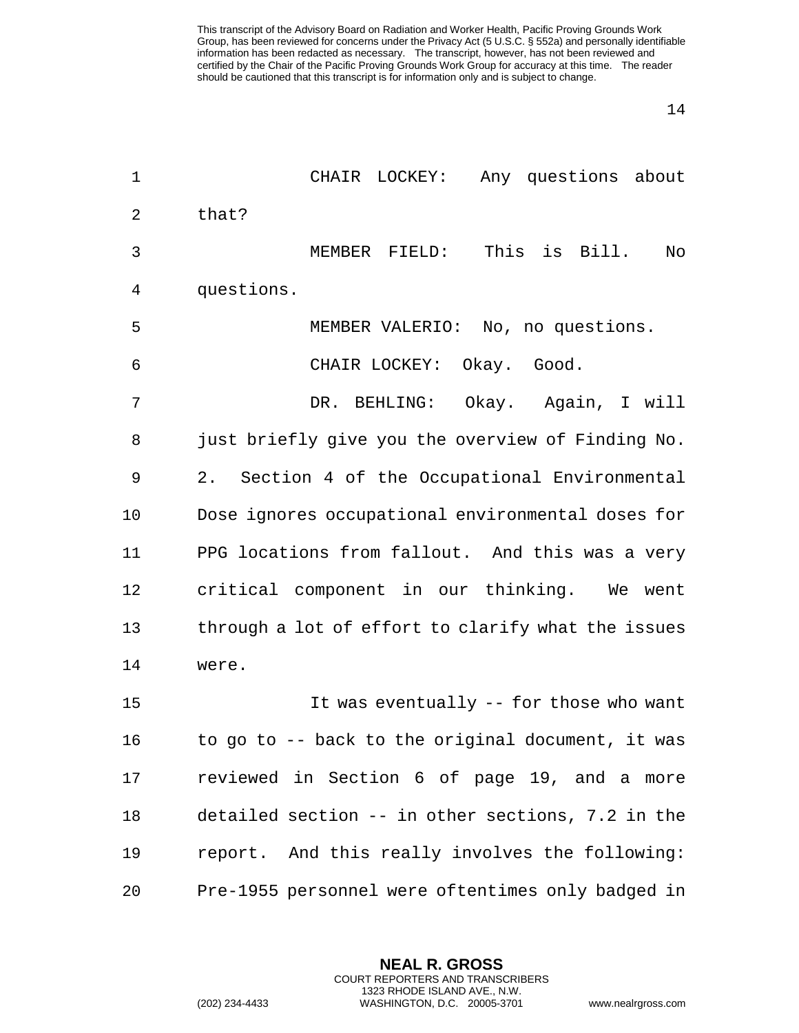| $\mathbf 1$    | CHAIR LOCKEY: Any questions about                  |
|----------------|----------------------------------------------------|
| $\overline{2}$ | that?                                              |
| 3              | This is Bill.<br>MEMBER FIELD:<br>No               |
| 4              | questions.                                         |
| 5              | MEMBER VALERIO: No, no questions.                  |
| 6              | CHAIR LOCKEY: Okay. Good.                          |
| 7              | DR. BEHLING: Okay. Again, I will                   |
| 8              | just briefly give you the overview of Finding No.  |
| 9              | 2. Section 4 of the Occupational Environmental     |
| 10             | Dose ignores occupational environmental doses for  |
| 11             | PPG locations from fallout. And this was a very    |
| 12             | critical component in our thinking. We went        |
| 13             | through a lot of effort to clarify what the issues |
| 14             | were.                                              |
| 15             | It was eventually -- for those who want            |
| 16             | to go to -- back to the original document, it was  |
| 17             | reviewed in Section 6 of page 19, and a more       |
| 18             | detailed section -- in other sections, 7.2 in the  |
| 19             | report. And this really involves the following:    |
| 20             | Pre-1955 personnel were oftentimes only badged in  |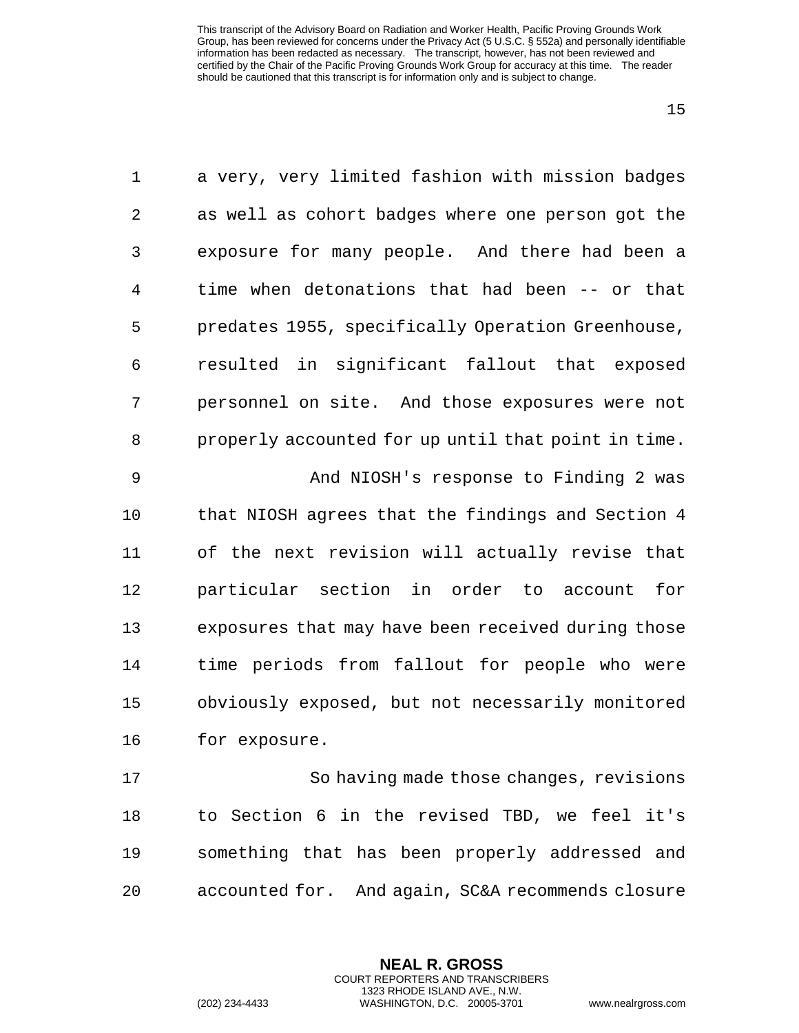| $\mathbf 1$ | a very, very limited fashion with mission badges    |
|-------------|-----------------------------------------------------|
| 2           | as well as cohort badges where one person got the   |
| 3           | exposure for many people. And there had been a      |
| 4           | time when detonations that had been -- or that      |
| 5           | predates 1955, specifically Operation Greenhouse,   |
| 6           | resulted in significant fallout that exposed        |
| 7           | personnel on site. And those exposures were not     |
| 8           | properly accounted for up until that point in time. |
| 9           | And NIOSH's response to Finding 2 was               |
| 10          | that NIOSH agrees that the findings and Section 4   |
| 11          | of the next revision will actually revise that      |
| 12          | particular section in order to account<br>for       |
| 13          | exposures that may have been received during those  |
| 14          | time periods from fallout for people who were       |
| 15          | obviously exposed, but not necessarily monitored    |
| 16          | for exposure.                                       |
| 17          | So having made those changes, revisions             |
| 18          | to Section 6 in the revised TBD, we feel it's       |
| 19          | something that has been properly addressed and      |

accounted for. And again, SC&A recommends closure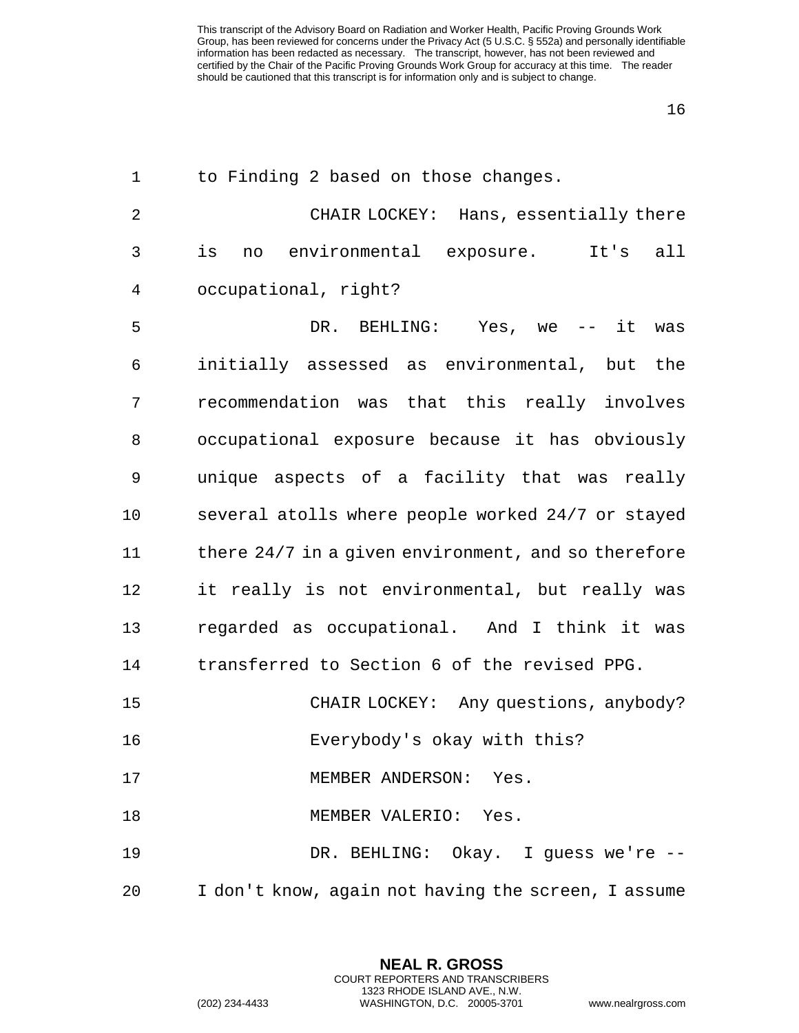| $\mathbf{1}$ | to Finding 2 based on those changes.                |
|--------------|-----------------------------------------------------|
| 2            | CHAIR LOCKEY: Hans, essentially there               |
| 3            | is<br>environmental exposure. It's<br>all<br>no     |
| 4            | occupational, right?                                |
| 5            | DR. BEHLING: Yes, we -- it was                      |
| 6            | initially assessed as environmental, but the        |
| 7            | recommendation was that this really involves        |
| 8            | occupational exposure because it has obviously      |
| 9            | unique aspects of a facility that was really        |
| 10           | several atolls where people worked 24/7 or stayed   |
| 11           | there 24/7 in a given environment, and so therefore |
| 12           | it really is not environmental, but really was      |
| 13           | regarded as occupational. And I think it was        |
| 14           | transferred to Section 6 of the revised PPG.        |
| 15           | CHAIR LOCKEY: Any questions, anybody?               |
| 16           | Everybody's okay with this?                         |
| 17           | MEMBER ANDERSON: Yes.                               |
| 18           | MEMBER VALERIO: Yes.                                |
| 19           | DR. BEHLING: Okay. I guess we're --                 |
| 20           | I don't know, again not having the screen, I assume |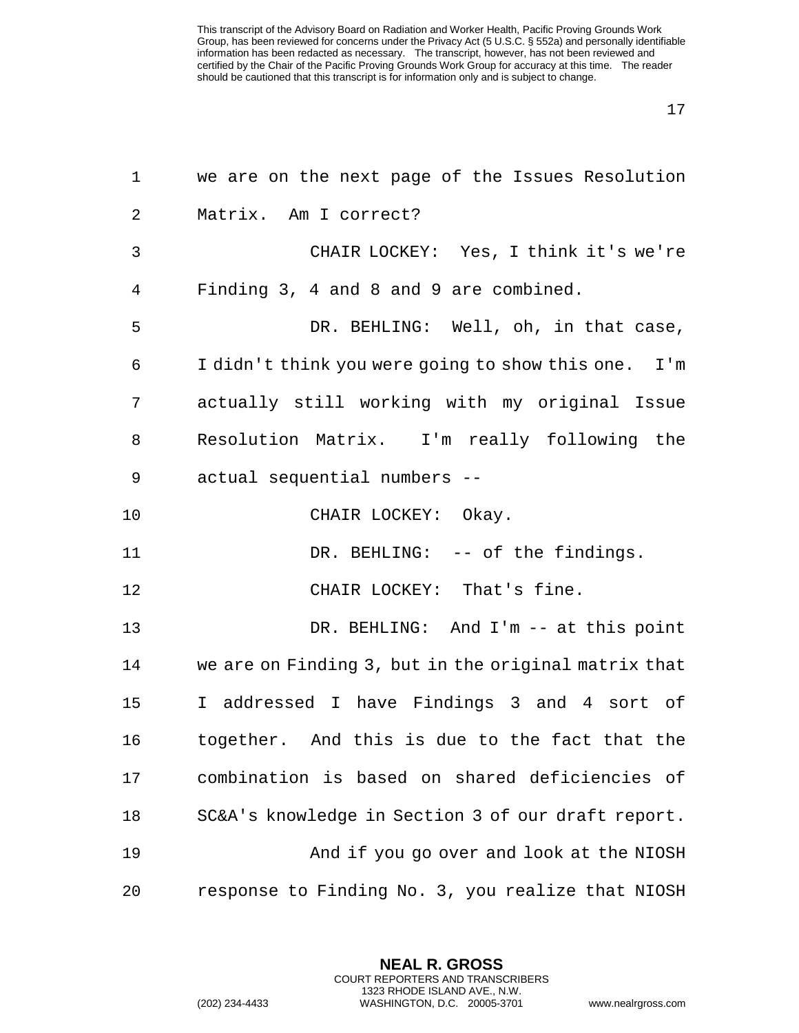| $\mathbf{1}$   | we are on the next page of the Issues Resolution     |
|----------------|------------------------------------------------------|
| $\overline{2}$ | Matrix. Am I correct?                                |
| 3              | CHAIR LOCKEY: Yes, I think it's we're                |
| 4              | Finding 3, 4 and 8 and 9 are combined.               |
| 5              | DR. BEHLING: Well, oh, in that case,                 |
| 6              | I didn't think you were going to show this one. I'm  |
| 7              | actually still working with my original Issue        |
| 8              | Resolution Matrix. I'm really following the          |
| 9              | actual sequential numbers --                         |
| 10             | CHAIR LOCKEY: Okay.                                  |
| 11             | DR. BEHLING: -- of the findings.                     |
| 12             | CHAIR LOCKEY: That's fine.                           |
| 13             | DR. BEHLING: And I'm -- at this point                |
| 14             | we are on Finding 3, but in the original matrix that |
| 15             | I addressed I have Findings 3 and 4 sort of          |
| 16             | together. And this is due to the fact that the       |
| 17             | combination is based on shared deficiencies of       |
| 18             | SC&A's knowledge in Section 3 of our draft report.   |
| 19             | And if you go over and look at the NIOSH             |
| 20             | response to Finding No. 3, you realize that NIOSH    |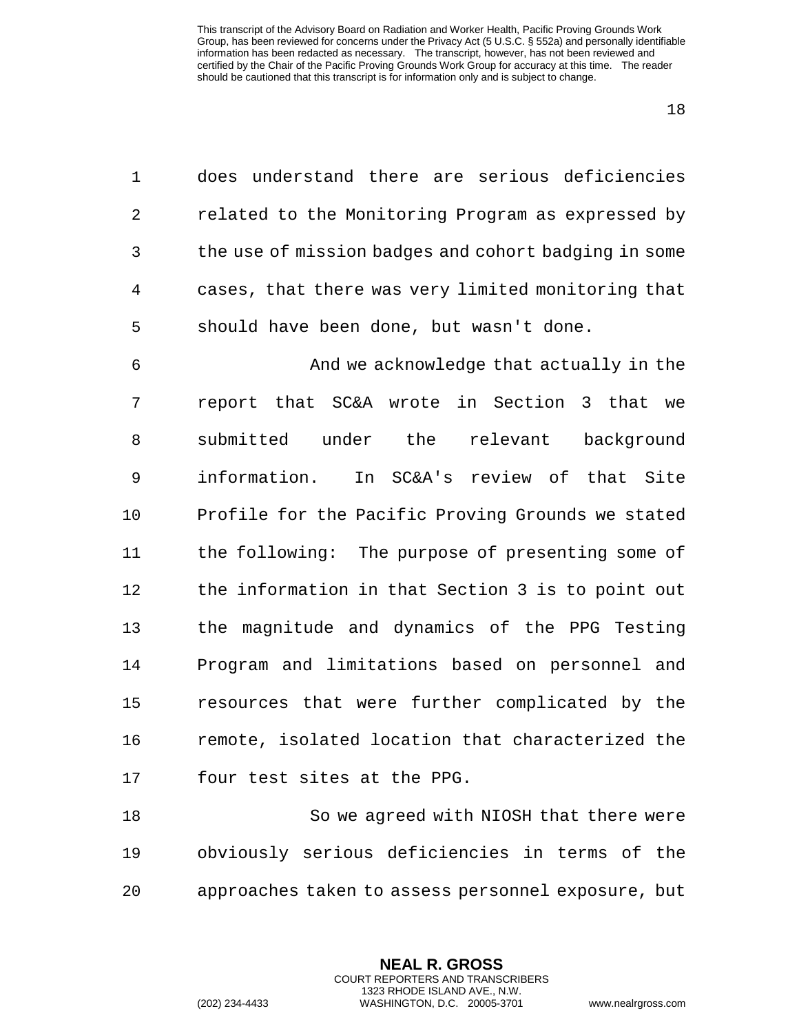does understand there are serious deficiencies related to the Monitoring Program as expressed by the use of mission badges and cohort badging in some cases, that there was very limited monitoring that should have been done, but wasn't done.

 And we acknowledge that actually in the report that SC&A wrote in Section 3 that we 8 submitted under the relevant background information. In SC&A's review of that Site Profile for the Pacific Proving Grounds we stated the following: The purpose of presenting some of the information in that Section 3 is to point out the magnitude and dynamics of the PPG Testing Program and limitations based on personnel and resources that were further complicated by the remote, isolated location that characterized the four test sites at the PPG.

 So we agreed with NIOSH that there were obviously serious deficiencies in terms of the approaches taken to assess personnel exposure, but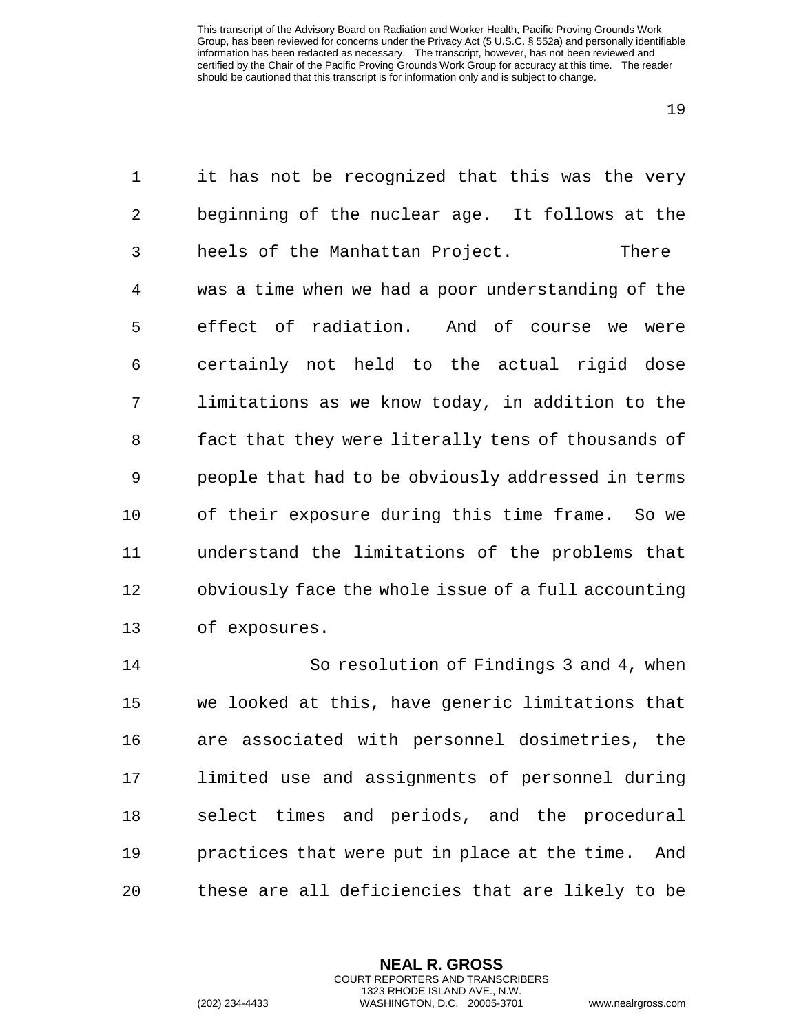it has not be recognized that this was the very beginning of the nuclear age. It follows at the heels of the Manhattan Project. There was a time when we had a poor understanding of the effect of radiation. And of course we were certainly not held to the actual rigid dose limitations as we know today, in addition to the fact that they were literally tens of thousands of people that had to be obviously addressed in terms of their exposure during this time frame. So we understand the limitations of the problems that obviously face the whole issue of a full accounting of exposures.

 So resolution of Findings 3 and 4, when we looked at this, have generic limitations that are associated with personnel dosimetries, the limited use and assignments of personnel during select times and periods, and the procedural practices that were put in place at the time. And these are all deficiencies that are likely to be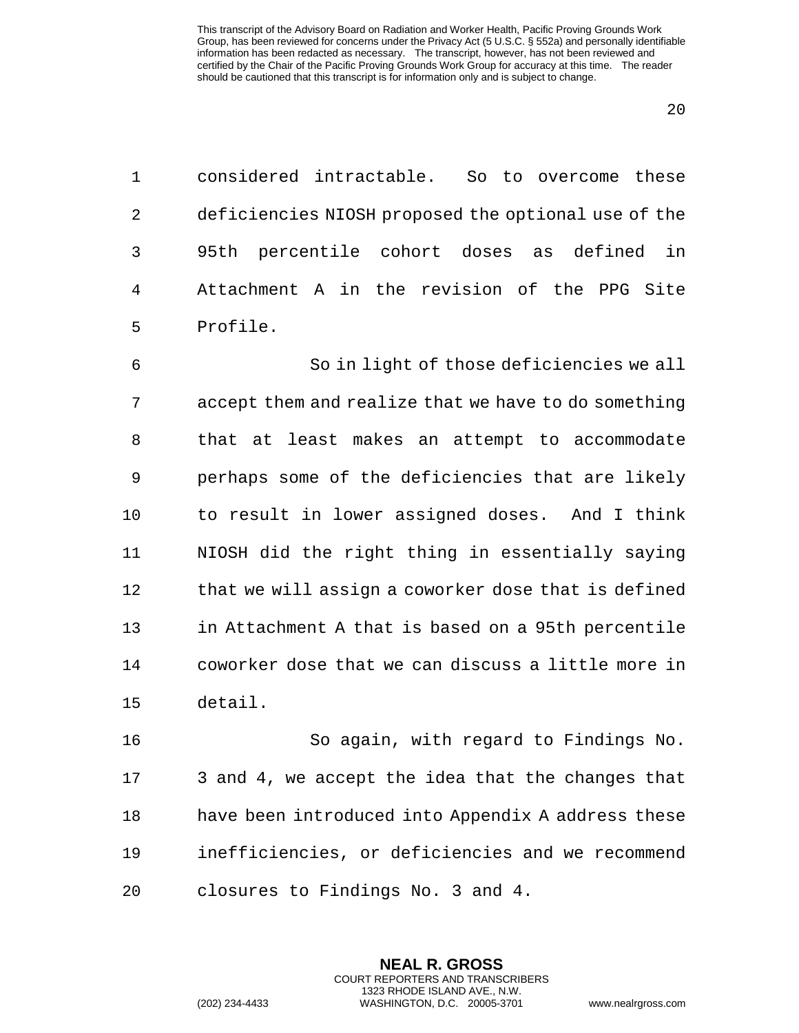considered intractable. So to overcome these deficiencies NIOSH proposed the optional use of the 95th percentile cohort doses as defined in Attachment A in the revision of the PPG Site Profile.

 So in light of those deficiencies we all accept them and realize that we have to do something that at least makes an attempt to accommodate perhaps some of the deficiencies that are likely to result in lower assigned doses. And I think NIOSH did the right thing in essentially saying 12 that we will assign a coworker dose that is defined in Attachment A that is based on a 95th percentile coworker dose that we can discuss a little more in detail.

 So again, with regard to Findings No. 3 and 4, we accept the idea that the changes that have been introduced into Appendix A address these inefficiencies, or deficiencies and we recommend closures to Findings No. 3 and 4.

> **NEAL R. GROSS** COURT REPORTERS AND TRANSCRIBERS 1323 RHODE ISLAND AVE., N.W.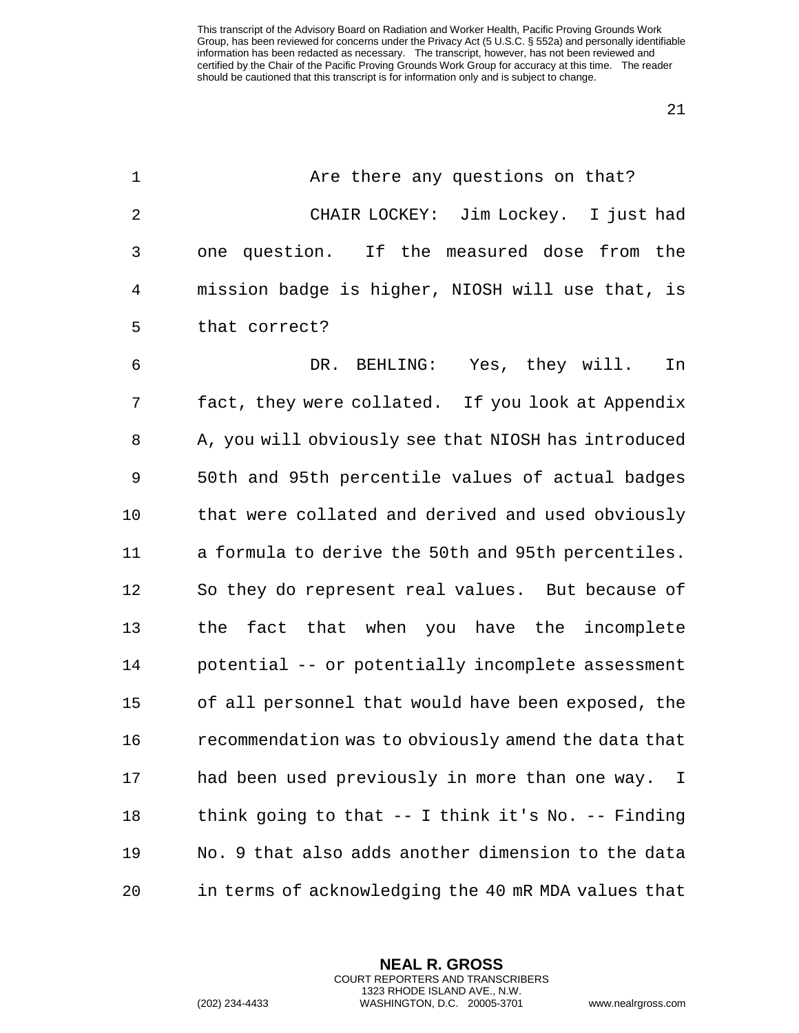| 1              | Are there any questions on that?                               |
|----------------|----------------------------------------------------------------|
| $\overline{2}$ | CHAIR LOCKEY: Jim Lockey. I just had                           |
| 3              | one question. If the measured dose from the                    |
| 4              | mission badge is higher, NIOSH will use that, is               |
| 5              | that correct?                                                  |
| 6              | DR. BEHLING: Yes, they will.<br>In                             |
| 7              | fact, they were collated. If you look at Appendix              |
| 8              | A, you will obviously see that NIOSH has introduced            |
| 9              | 50th and 95th percentile values of actual badges               |
| 10             | that were collated and derived and used obviously              |
| 11             | a formula to derive the 50th and 95th percentiles.             |
| 12             | So they do represent real values. But because of               |
| 13             | the fact that when you have the incomplete                     |
| 14             | potential -- or potentially incomplete assessment              |
| 15             | of all personnel that would have been exposed, the             |
| 16             | recommendation was to obviously amend the data that            |
| 17             | had been used previously in more than one way.<br>$\mathbb{I}$ |
| 18             | think going to that $--$ I think it's No. $--$ Finding         |
| 19             | No. 9 that also adds another dimension to the data             |
| 20             | in terms of acknowledging the 40 mR MDA values that            |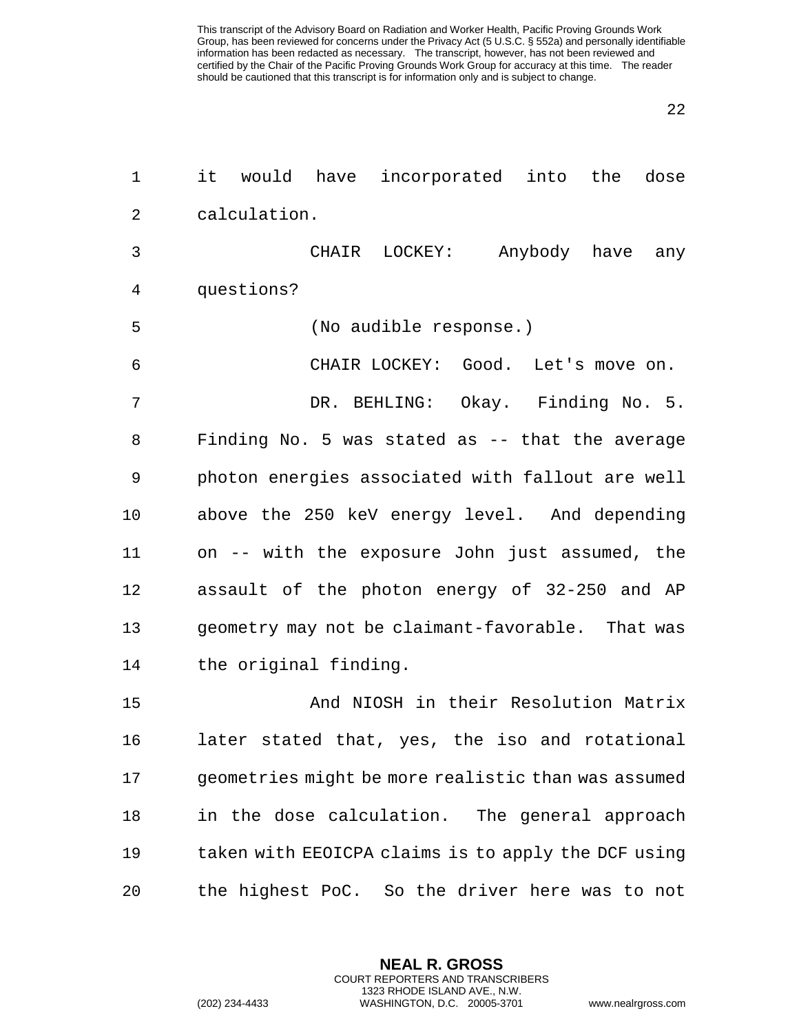| $\mathbf 1$    | it would have incorporated into the dose            |
|----------------|-----------------------------------------------------|
| $\overline{2}$ | calculation.                                        |
| 3              | CHAIR LOCKEY: Anybody have any                      |
| 4              | questions?                                          |
| 5              | (No audible response.)                              |
| 6              | CHAIR LOCKEY: Good. Let's move on.                  |
| 7              | DR. BEHLING: Okay. Finding No. 5.                   |
| 8              | Finding No. 5 was stated as -- that the average     |
| 9              | photon energies associated with fallout are well    |
| 10             | above the 250 keV energy level. And depending       |
| 11             | on -- with the exposure John just assumed, the      |
| 12             | assault of the photon energy of 32-250 and AP       |
| 13             | geometry may not be claimant-favorable. That was    |
| 14             | the original finding.                               |
| 15             | And NIOSH in their Resolution Matrix                |
| 16             | later stated that, yes, the iso and rotational      |
| 17             | geometries might be more realistic than was assumed |
| 18             | in the dose calculation. The general approach       |
| 19             | taken with EEOICPA claims is to apply the DCF using |
| 20             | the highest PoC. So the driver here was to not      |

**NEAL R. GROSS** COURT REPORTERS AND TRANSCRIBERS 1323 RHODE ISLAND AVE., N.W.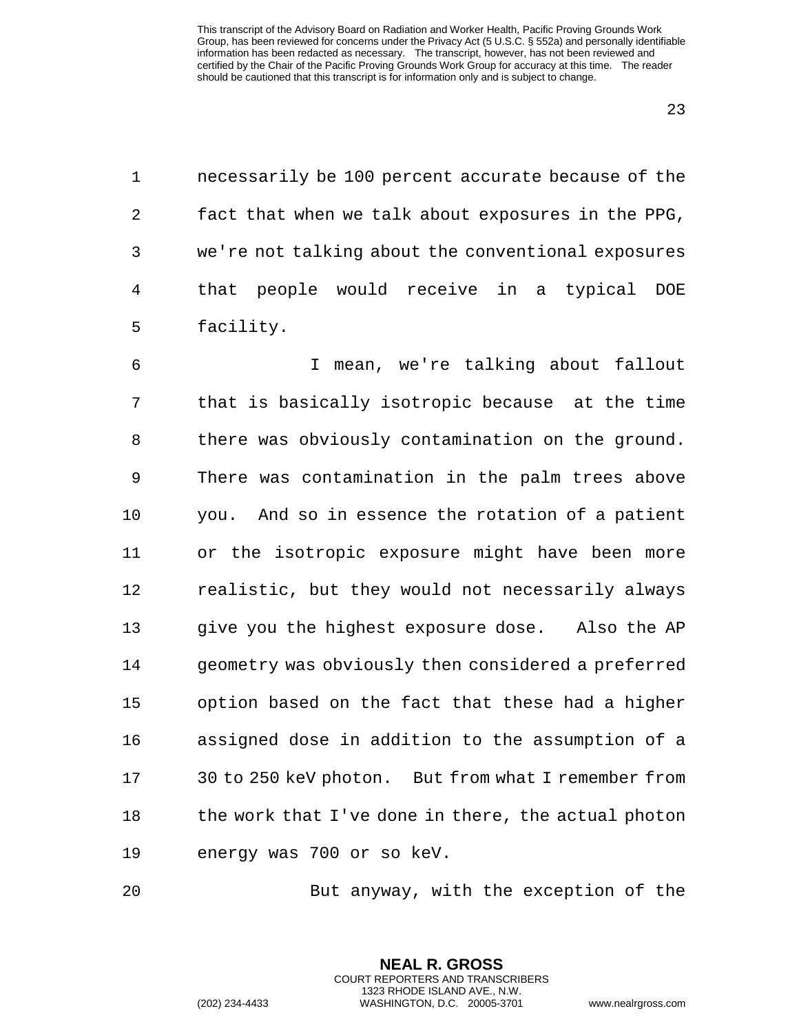necessarily be 100 percent accurate because of the fact that when we talk about exposures in the PPG, we're not talking about the conventional exposures that people would receive in a typical DOE facility.

 I mean, we're talking about fallout that is basically isotropic because at the time there was obviously contamination on the ground. There was contamination in the palm trees above you. And so in essence the rotation of a patient or the isotropic exposure might have been more realistic, but they would not necessarily always give you the highest exposure dose. Also the AP geometry was obviously then considered a preferred option based on the fact that these had a higher assigned dose in addition to the assumption of a 30 to 250 keV photon. But from what I remember from 18 the work that I've done in there, the actual photon energy was 700 or so keV.

But anyway, with the exception of the

**NEAL R. GROSS** COURT REPORTERS AND TRANSCRIBERS 1323 RHODE ISLAND AVE., N.W.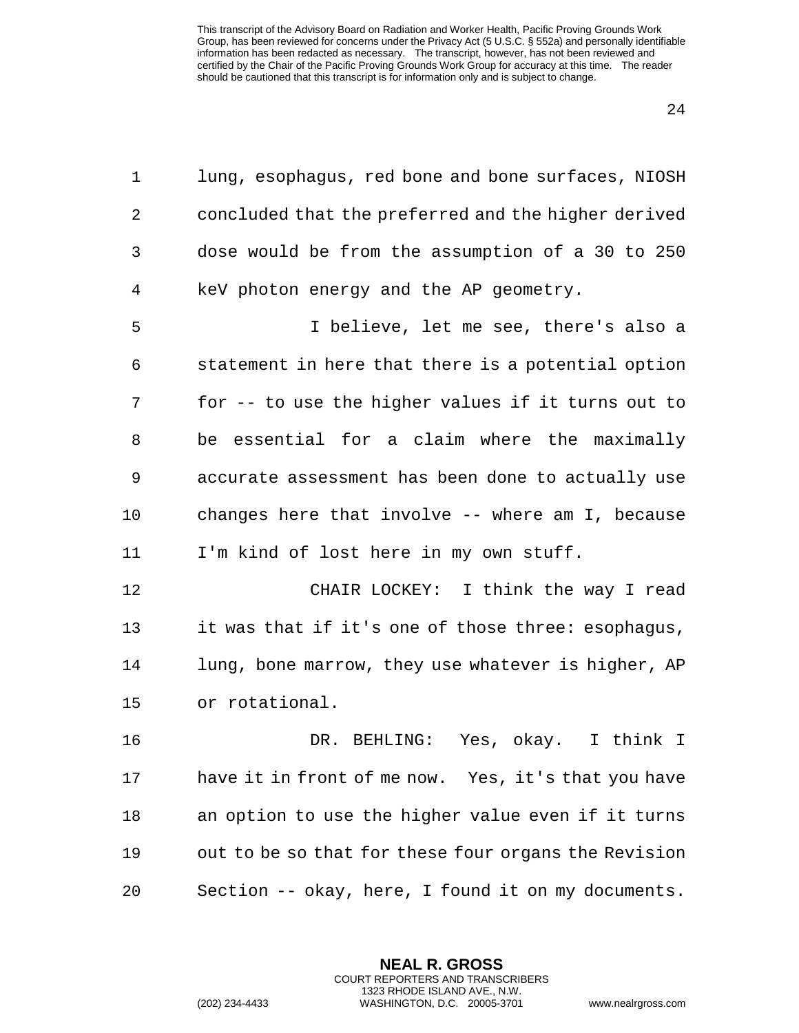lung, esophagus, red bone and bone surfaces, NIOSH concluded that the preferred and the higher derived dose would be from the assumption of a 30 to 250 keV photon energy and the AP geometry.

 I believe, let me see, there's also a statement in here that there is a potential option for -- to use the higher values if it turns out to be essential for a claim where the maximally accurate assessment has been done to actually use changes here that involve -- where am I, because I'm kind of lost here in my own stuff.

 CHAIR LOCKEY: I think the way I read it was that if it's one of those three: esophagus, lung, bone marrow, they use whatever is higher, AP or rotational.

 DR. BEHLING: Yes, okay. I think I have it in front of me now. Yes, it's that you have an option to use the higher value even if it turns out to be so that for these four organs the Revision Section -- okay, here, I found it on my documents.

**NEAL R. GROSS**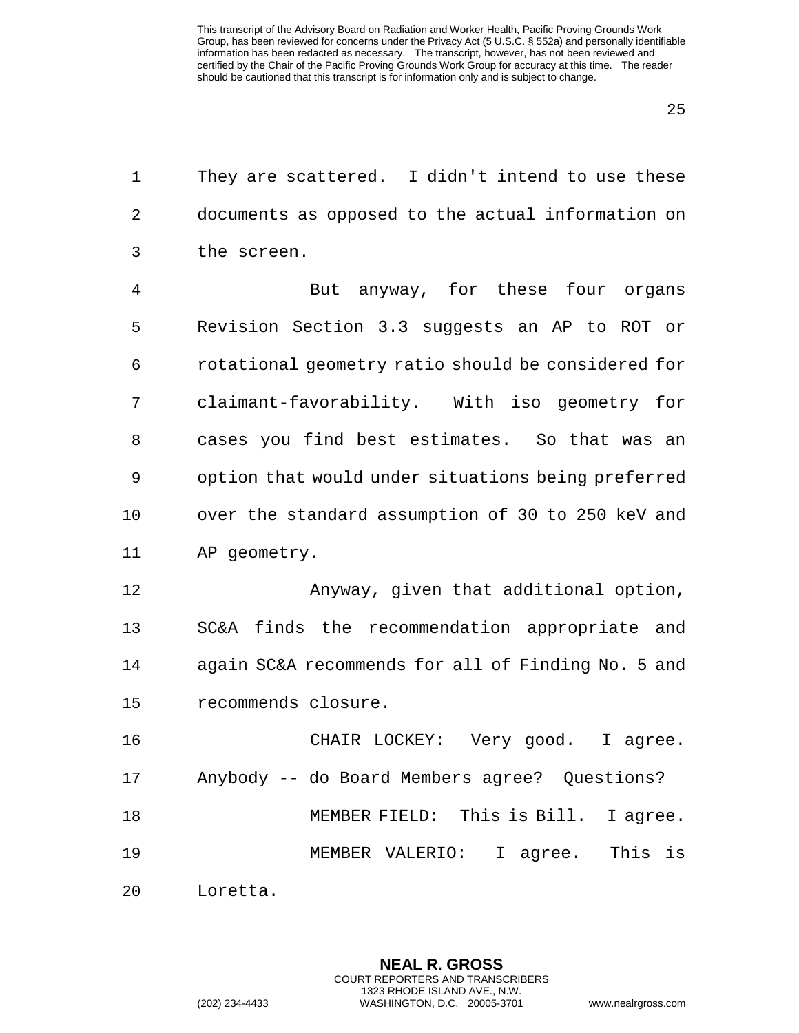They are scattered. I didn't intend to use these documents as opposed to the actual information on the screen.

 But anyway, for these four organs Revision Section 3.3 suggests an AP to ROT or rotational geometry ratio should be considered for claimant-favorability. With iso geometry for cases you find best estimates. So that was an option that would under situations being preferred over the standard assumption of 30 to 250 keV and AP geometry.

 Anyway, given that additional option, SC&A finds the recommendation appropriate and again SC&A recommends for all of Finding No. 5 and recommends closure.

 CHAIR LOCKEY: Very good. I agree. Anybody -- do Board Members agree? Questions? MEMBER FIELD: This is Bill. I agree. MEMBER VALERIO: I agree. This is

Loretta.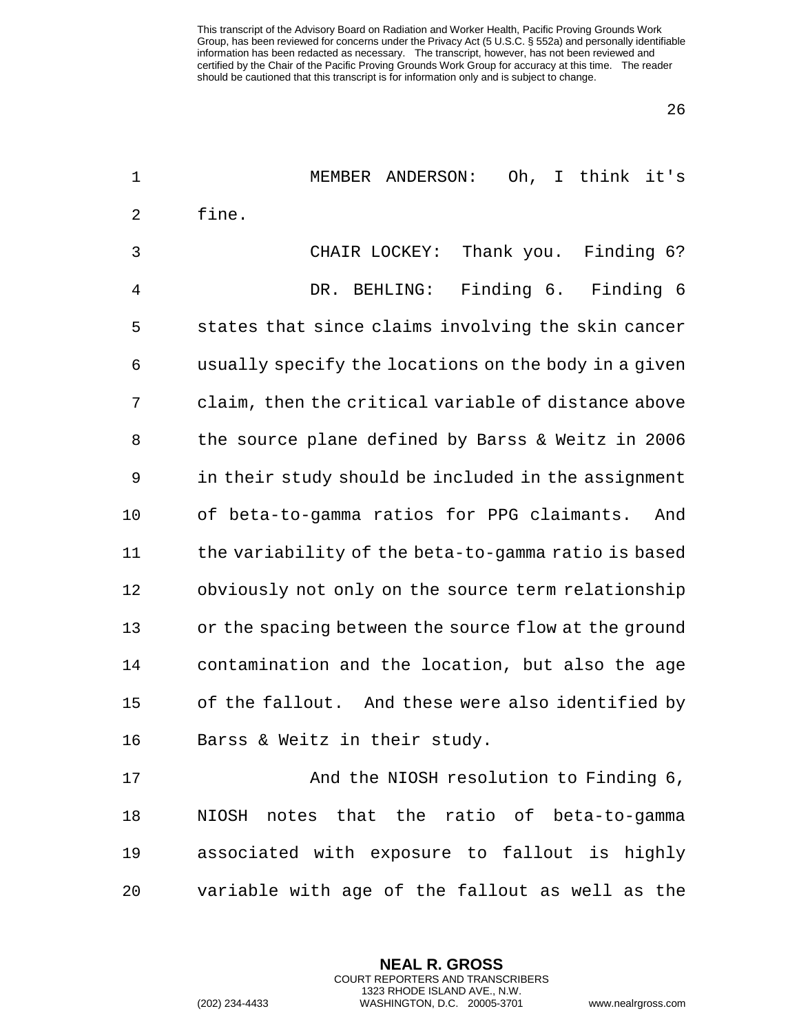26

| $\mathbf 1$    | Oh, I think it's<br>MEMBER ANDERSON:                 |
|----------------|------------------------------------------------------|
| $\overline{2}$ | fine.                                                |
| 3              | Thank you. Finding 6?<br>CHAIR LOCKEY:               |
| 4              | Finding 6. Finding 6<br>DR. BEHLING:                 |
| 5              | states that since claims involving the skin cancer   |
| 6              | usually specify the locations on the body in a given |
| 7              | claim, then the critical variable of distance above  |
| 8              | the source plane defined by Barss & Weitz in 2006    |
| 9              | in their study should be included in the assignment  |
| 10             | of beta-to-gamma ratios for PPG claimants.<br>And    |
| 11             | the variability of the beta-to-gamma ratio is based  |
| 12             | obviously not only on the source term relationship   |
| 13             | or the spacing between the source flow at the ground |
| 14             | contamination and the location, but also the age     |
| 15             | of the fallout. And these were also identified by    |
| 16             | Barss & Weitz in their study.                        |
| 17             | And the NIOSH resolution to Finding 6,               |
| 18             | NIOSH notes that the ratio of beta-to-gamma          |
| 19             | associated with exposure to fallout is highly        |
| 20             | variable with age of the fallout as well as the      |

**NEAL R. GROSS** COURT REPORTERS AND TRANSCRIBERS 1323 RHODE ISLAND AVE., N.W.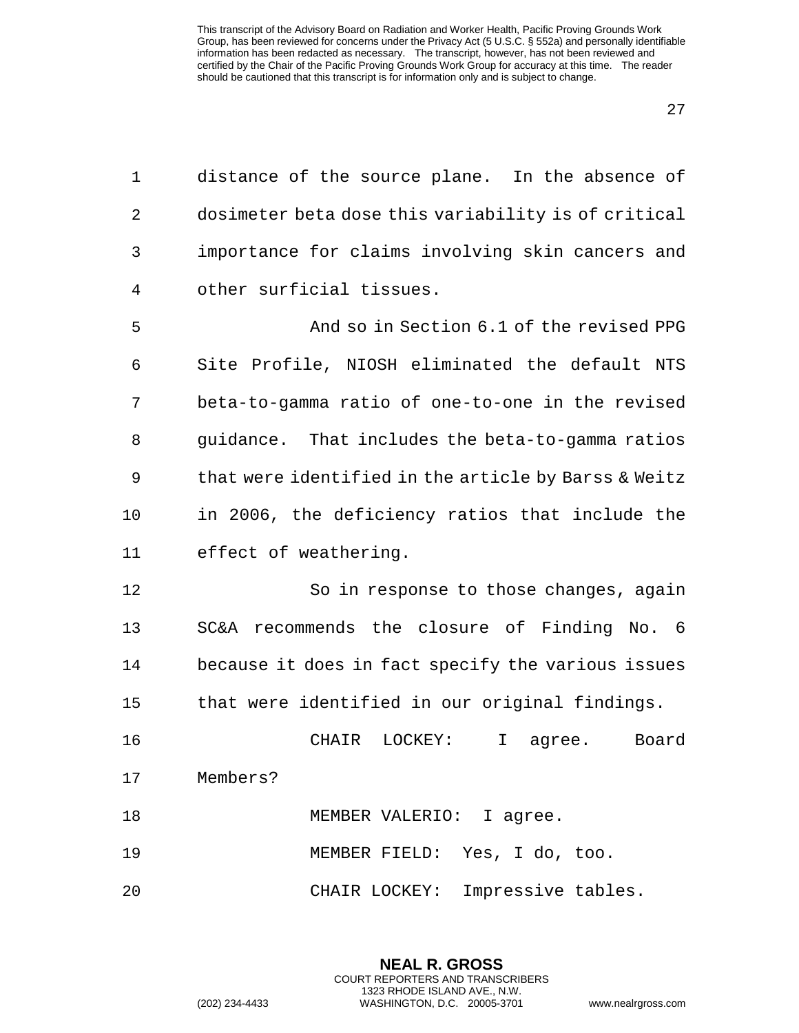| $\mathbf 1$    | distance of the source plane. In the absence of      |
|----------------|------------------------------------------------------|
| $\overline{2}$ | dosimeter beta dose this variability is of critical  |
| 3              | importance for claims involving skin cancers and     |
| 4              | other surficial tissues.                             |
| 5              | And so in Section 6.1 of the revised PPG             |
| 6              | Site Profile, NIOSH eliminated the default NTS       |
| 7              | beta-to-gamma ratio of one-to-one in the revised     |
| 8              | guidance. That includes the beta-to-gamma ratios     |
| 9              | that were identified in the article by Barss & Weitz |
| 10             | in 2006, the deficiency ratios that include the      |
| 11             | effect of weathering.                                |
| 12             | So in response to those changes, again               |
| 13             | SC&A recommends the closure of Finding No. 6         |
| 14             | because it does in fact specify the various issues   |
| 15             | that were identified in our original findings.       |
| 16             | LOCKEY:<br>I<br>CHAIR<br>Board<br>agree.             |
| 17             | Members?                                             |
| 18             | MEMBER VALERIO: I agree.                             |
| 19             | MEMBER FIELD: Yes, I do, too.                        |
| 20             | Impressive tables.<br>CHAIR LOCKEY:                  |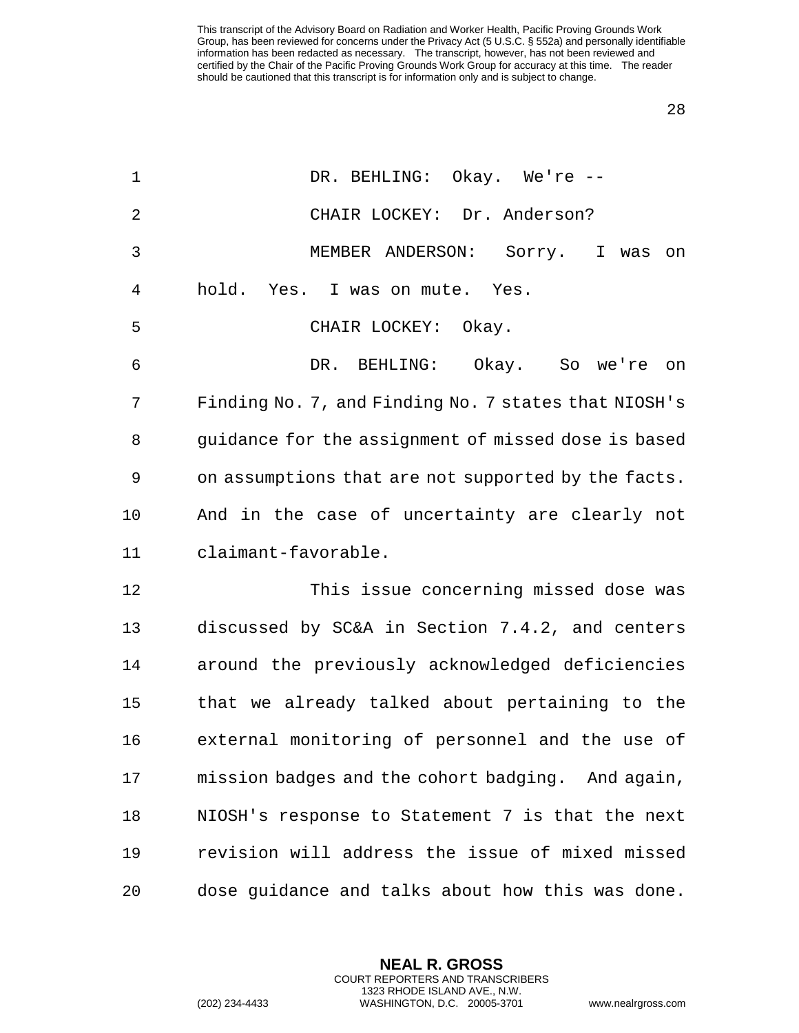| $\mathbf 1$    | DR. BEHLING: Okay. We're --                          |
|----------------|------------------------------------------------------|
| $\overline{2}$ | CHAIR LOCKEY: Dr. Anderson?                          |
| 3              | MEMBER ANDERSON:<br>Sorry. I was<br>on               |
| 4              | hold. Yes. I was on mute. Yes.                       |
| 5              | CHAIR LOCKEY: Okay.                                  |
| 6              | DR. BEHLING: Okay. So we're<br>on                    |
| 7              | Finding No. 7, and Finding No. 7 states that NIOSH's |
| 8              | guidance for the assignment of missed dose is based  |
| 9              | on assumptions that are not supported by the facts.  |
| 10             | And in the case of uncertainty are clearly not       |
| 11             | claimant-favorable.                                  |
| 12             | This issue concerning missed dose was                |
| 13             | discussed by SC&A in Section 7.4.2, and centers      |
| 14             | around the previously acknowledged deficiencies      |
| 15             | that we already talked about pertaining to the       |
| 16             | external monitoring of personnel and the use of      |
| 17             | mission badges and the cohort badging. And again,    |
| 18             | NIOSH's response to Statement 7 is that the next     |
| 19             | revision will address the issue of mixed missed      |
| 20             | dose guidance and talks about how this was done.     |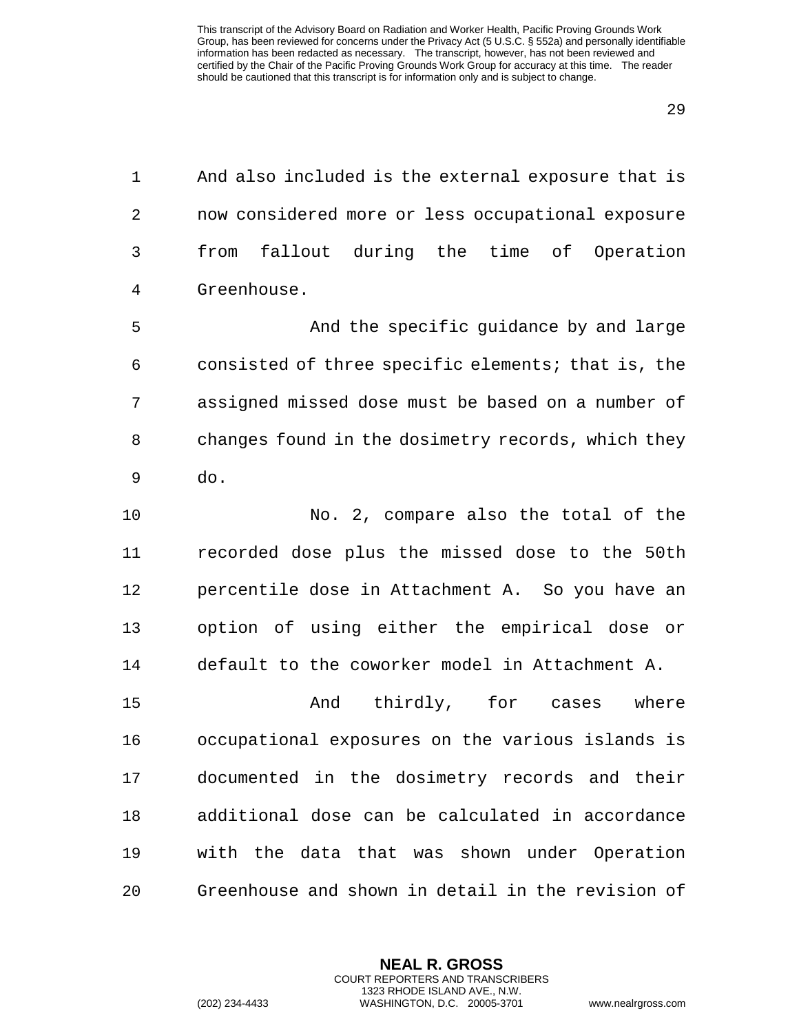And also included is the external exposure that is now considered more or less occupational exposure from fallout during the time of Operation Greenhouse.

 And the specific guidance by and large consisted of three specific elements; that is, the assigned missed dose must be based on a number of changes found in the dosimetry records, which they do.

 No. 2, compare also the total of the recorded dose plus the missed dose to the 50th percentile dose in Attachment A. So you have an option of using either the empirical dose or default to the coworker model in Attachment A.

15 And thirdly, for cases where occupational exposures on the various islands is documented in the dosimetry records and their additional dose can be calculated in accordance with the data that was shown under Operation Greenhouse and shown in detail in the revision of

> **NEAL R. GROSS** COURT REPORTERS AND TRANSCRIBERS 1323 RHODE ISLAND AVE., N.W.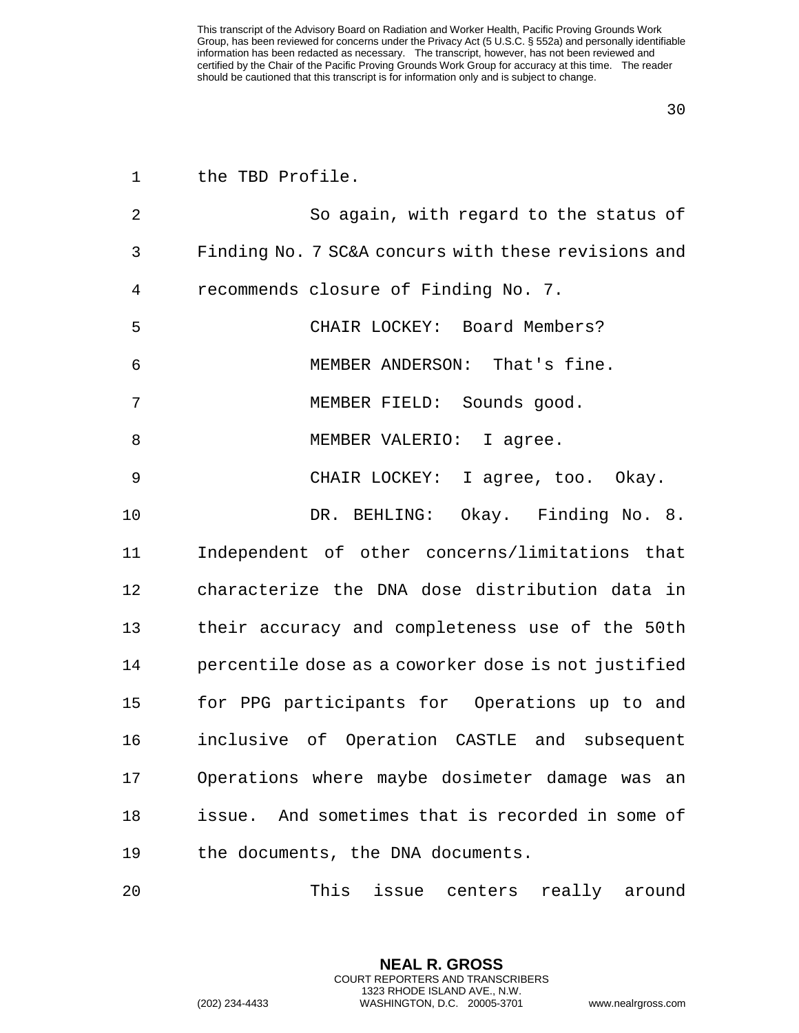| $\mathbf 1$ | the TBD Profile.                                    |
|-------------|-----------------------------------------------------|
| 2           | So again, with regard to the status of              |
| 3           | Finding No. 7 SC&A concurs with these revisions and |
| 4           | recommends closure of Finding No. 7.                |
| 5           | CHAIR LOCKEY: Board Members?                        |
| 6           | MEMBER ANDERSON: That's fine.                       |
| 7           | MEMBER FIELD: Sounds good.                          |
| 8           | MEMBER VALERIO: I agree.                            |
| 9           | CHAIR LOCKEY: I agree, too. Okay.                   |
| 10          | DR. BEHLING: Okay. Finding No. 8.                   |
| 11          | Independent of other concerns/limitations that      |
| 12          | characterize the DNA dose distribution data in      |
| 13          | their accuracy and completeness use of the 50th     |
| 14          | percentile dose as a coworker dose is not justified |
| 15          | for PPG participants for Operations up to and       |
| 16          | inclusive of Operation CASTLE and subsequent        |
| 17          | Operations where maybe dosimeter damage was an      |
| 18          | issue. And sometimes that is recorded in some of    |
| 19          | the documents, the DNA documents.                   |
| 20          | This<br>issue centers really around                 |

**NEAL R. GROSS** COURT REPORTERS AND TRANSCRIBERS 1323 RHODE ISLAND AVE., N.W.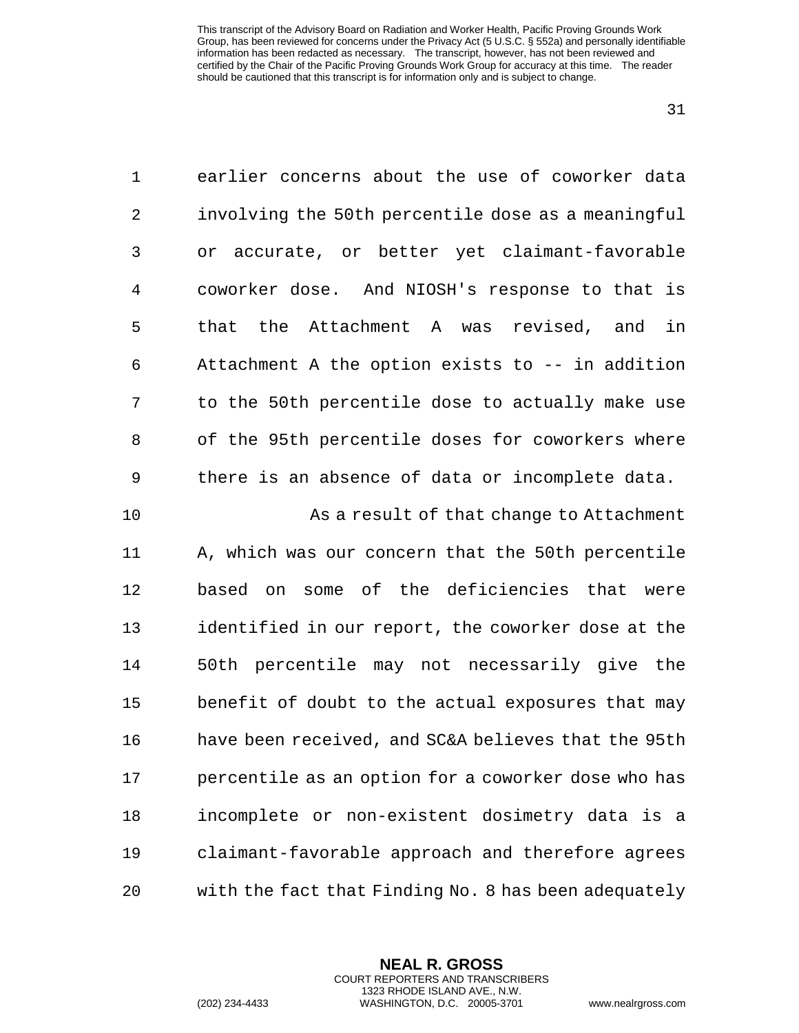| $\mathbf 1$ | earlier concerns about the use of coworker data      |
|-------------|------------------------------------------------------|
| $\sqrt{2}$  | involving the 50th percentile dose as a meaningful   |
| 3           | or accurate, or better yet claimant-favorable        |
| 4           | coworker dose. And NIOSH's response to that is       |
| 5           | the Attachment A was revised, and<br>that<br>in      |
| 6           | Attachment A the option exists to -- in addition     |
| 7           | to the 50th percentile dose to actually make use     |
| 8           | of the 95th percentile doses for coworkers where     |
| 9           | there is an absence of data or incomplete data.      |
| 10          | As a result of that change to Attachment             |
| 11          | A, which was our concern that the 50th percentile    |
| 12          | based on some of the deficiencies that were          |
| 13          | identified in our report, the coworker dose at the   |
| 14          | 50th percentile may not necessarily give the         |
| 15          | benefit of doubt to the actual exposures that may    |
| 16          | have been received, and SC&A believes that the 95th  |
| 17          | percentile as an option for a coworker dose who has  |
| 18          | incomplete or non-existent dosimetry data is a       |
| 19          | claimant-favorable approach and therefore agrees     |
| 20          | with the fact that Finding No. 8 has been adequately |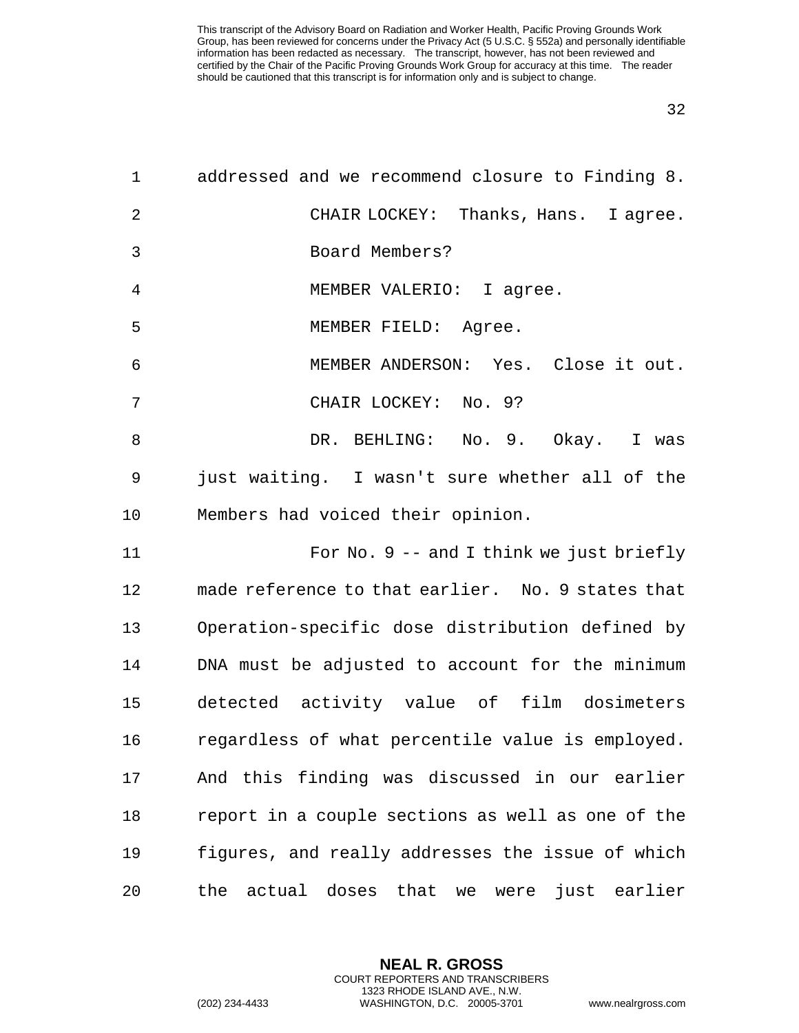| $\mathbf{1}$ | addressed and we recommend closure to Finding 8.          |
|--------------|-----------------------------------------------------------|
| 2            | CHAIR LOCKEY: Thanks, Hans. I agree.                      |
| 3            | Board Members?                                            |
| 4            | MEMBER VALERIO: I agree.                                  |
| 5            | MEMBER FIELD: Agree.                                      |
| 6            | MEMBER ANDERSON: Yes. Close it out.                       |
| 7            | CHAIR LOCKEY: No. 9?                                      |
| 8            | DR. BEHLING: No. 9. Okay. I was                           |
| 9            | just waiting. I wasn't sure whether all of the            |
| 10           | Members had voiced their opinion.                         |
| 11           | For No. $9$ -- and I think we just briefly                |
| 12           | made reference to that earlier. No. 9 states that         |
| 13           | Operation-specific dose distribution defined by           |
| 14           | DNA must be adjusted to account for the minimum           |
| 15           | detected activity value of film dosimeters                |
| 16           | regardless of what percentile value is employed.          |
| 17           | And this finding was discussed in our earlier             |
| 18           | report in a couple sections as well as one of the         |
| 19           | figures, and really addresses the issue of which          |
| 20           | actual doses<br>that<br>just earlier<br>the<br>we<br>were |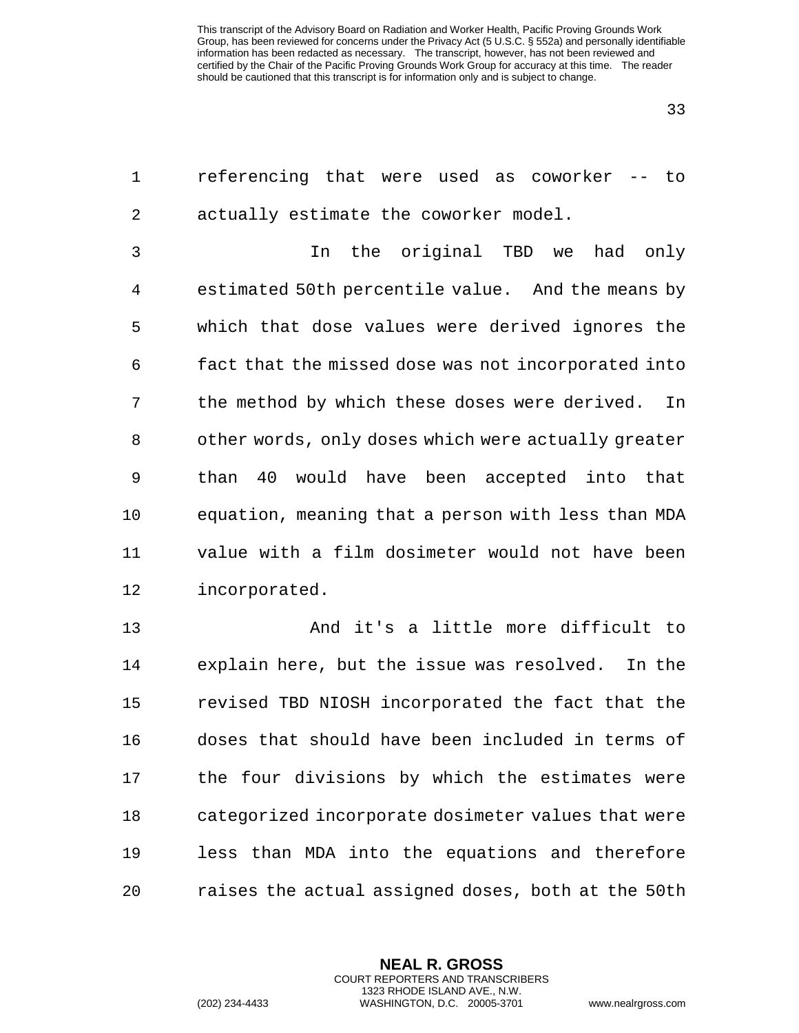| $\mathbf 1$    | referencing that were used as coworker -- to        |
|----------------|-----------------------------------------------------|
| $\overline{2}$ | actually estimate the coworker model.               |
| 3              | the original TBD we<br>had<br>In<br>only            |
| 4              | estimated 50th percentile value. And the means by   |
| 5              | which that dose values were derived ignores the     |
| 6              | fact that the missed dose was not incorporated into |
| 7              | the method by which these doses were derived.<br>In |
| 8              | other words, only doses which were actually greater |
| 9              | than 40<br>would have been accepted into that       |
| 10             | equation, meaning that a person with less than MDA  |
| 11             | value with a film dosimeter would not have been     |
| 12             | incorporated.                                       |
| 13             | And it's a little more difficult to                 |
| 14             | explain here, but the issue was resolved.<br>In the |
| 15             | revised TBD NIOSH incorporated the fact that the    |
| 16             | doses that should have been included in terms of    |
| 17             | the four divisions by which the estimates were      |
| 18             | categorized incorporate dosimeter values that were  |
| 19             | less than MDA into the equations and therefore      |
| 20             | raises the actual assigned doses, both at the 50th  |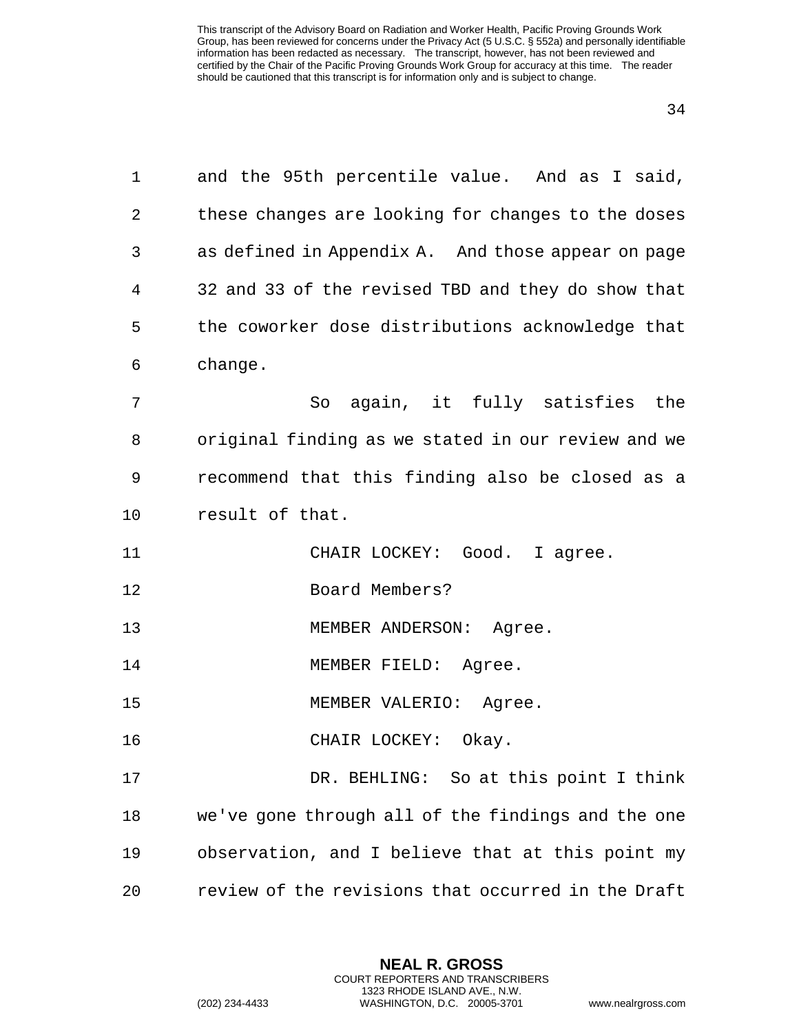| $\mathbf 1$ | and the 95th percentile value. And as I said,      |
|-------------|----------------------------------------------------|
| 2           | these changes are looking for changes to the doses |
| 3           | as defined in Appendix A. And those appear on page |
| 4           | 32 and 33 of the revised TBD and they do show that |
| 5           | the coworker dose distributions acknowledge that   |
| 6           | change.                                            |
| 7           | So again, it fully satisfies the                   |
| 8           | original finding as we stated in our review and we |
| 9           | recommend that this finding also be closed as a    |
| $10 \,$     | result of that.                                    |
| 11          | CHAIR LOCKEY: Good. I agree.                       |
| 12          | Board Members?                                     |
| 13          | MEMBER ANDERSON: Agree.                            |
| 14          | MEMBER FIELD: Agree.                               |
| 15          | MEMBER VALERIO: Agree.                             |
| 16          | CHAIR LOCKEY: Okay.                                |
| 17          | DR. BEHLING: So at this point I think              |
| 18          | we've gone through all of the findings and the one |
| 19          | observation, and I believe that at this point my   |
| 20          | review of the revisions that occurred in the Draft |

**NEAL R. GROSS** COURT REPORTERS AND TRANSCRIBERS 1323 RHODE ISLAND AVE., N.W.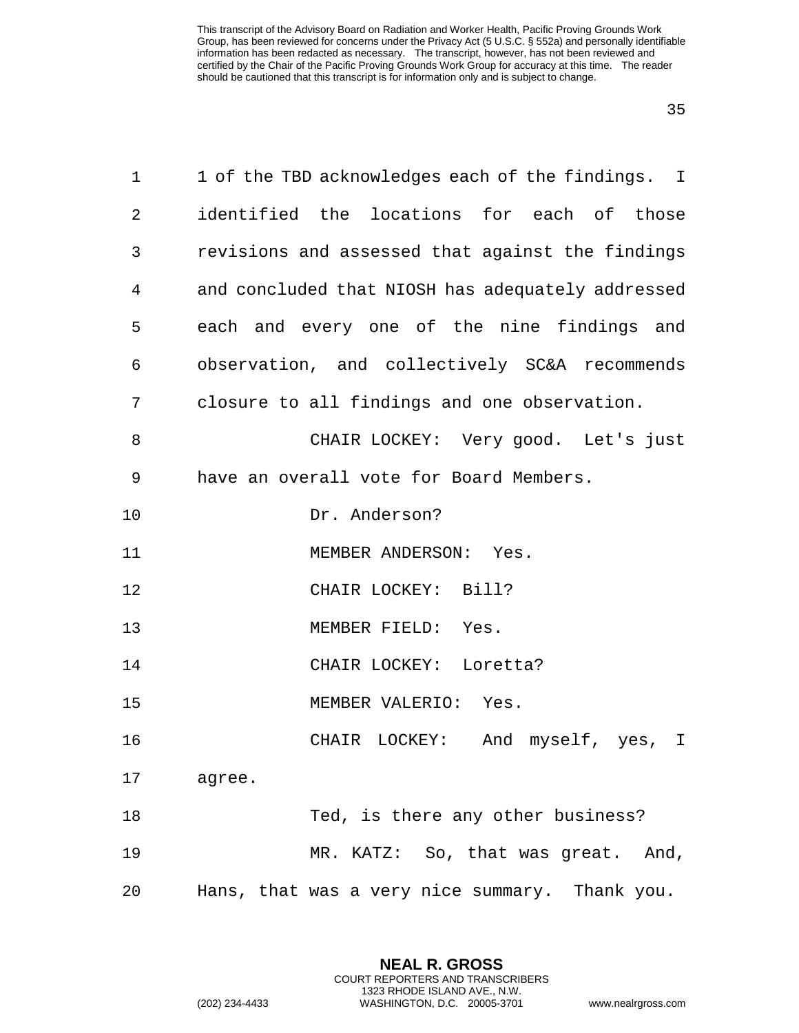| $\mathbf 1$ | 1 of the TBD acknowledges each of the findings. I |
|-------------|---------------------------------------------------|
| 2           | identified the locations for each of those        |
| 3           | revisions and assessed that against the findings  |
| 4           | and concluded that NIOSH has adequately addressed |
| 5           | each and every one of the nine findings and       |
| 6           | observation, and collectively SC&A recommends     |
| 7           | closure to all findings and one observation.      |
| 8           | CHAIR LOCKEY: Very good. Let's just               |
| 9           | have an overall vote for Board Members.           |
| 10          | Dr. Anderson?                                     |
| 11          | MEMBER ANDERSON: Yes.                             |
| 12          | CHAIR LOCKEY: Bill?                               |
| 13          | MEMBER FIELD: Yes.                                |
| 14          | CHAIR LOCKEY: Loretta?                            |
| 15          | MEMBER VALERIO: Yes.                              |
| 16          | CHAIR LOCKEY: And myself, yes, I                  |
| 17          | agree.                                            |
| 18          | Ted, is there any other business?                 |
| 19          | MR. KATZ: So, that was great. And,                |
| 20          | Hans, that was a very nice summary. Thank you.    |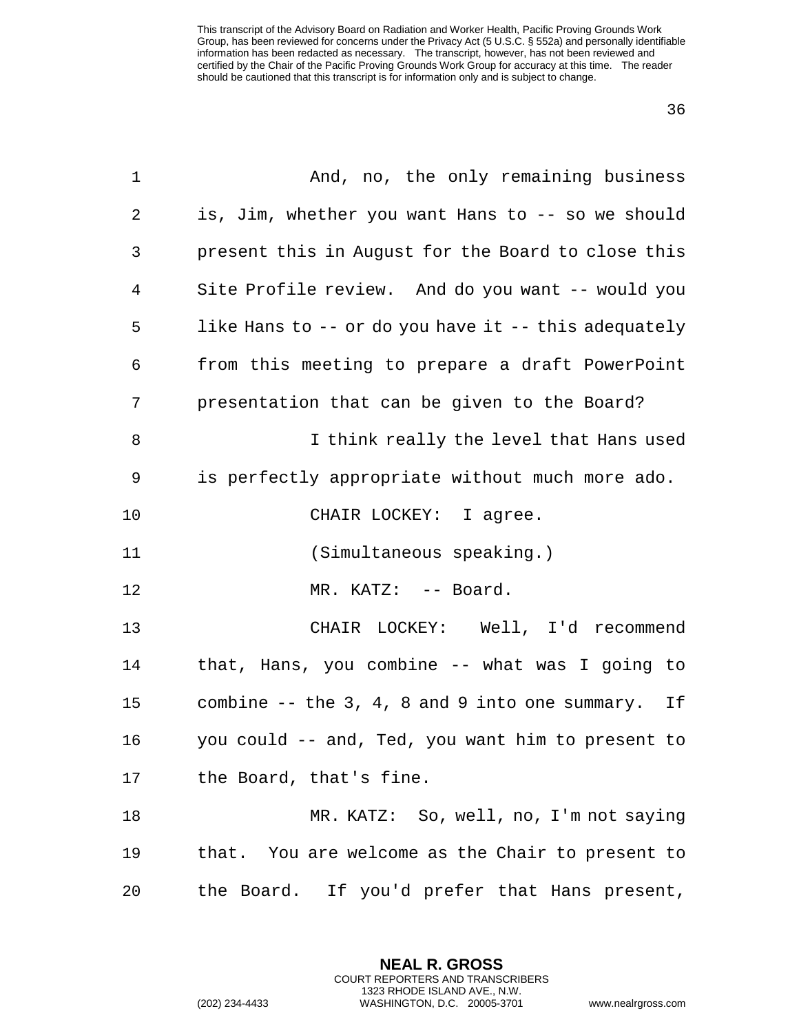| $\mathbf 1$ | And, no, the only remaining business                 |
|-------------|------------------------------------------------------|
| 2           | is, Jim, whether you want Hans to -- so we should    |
| 3           | present this in August for the Board to close this   |
| 4           | Site Profile review. And do you want -- would you    |
| 5           | like Hans to -- or do you have it -- this adequately |
| 6           | from this meeting to prepare a draft PowerPoint      |
| 7           | presentation that can be given to the Board?         |
| 8           | I think really the level that Hans used              |
| 9           | is perfectly appropriate without much more ado.      |
| 10          | CHAIR LOCKEY: I agree.                               |
| 11          | (Simultaneous speaking.)                             |
| 12          | MR. KATZ: -- Board.                                  |
| 13          | CHAIR LOCKEY: Well, I'd recommend                    |
| 14          | that, Hans, you combine -- what was I going to       |
| 15          | combine -- the 3, 4, 8 and 9 into one summary.<br>If |
| 16          | you could -- and, Ted, you want him to present to    |
| 17          | the Board, that's fine.                              |
| 18          | MR. KATZ: So, well, no, I'm not saying               |
| 19          | that. You are welcome as the Chair to present to     |
| 20          | the Board. If you'd prefer that Hans present,        |

**NEAL R. GROSS** COURT REPORTERS AND TRANSCRIBERS 1323 RHODE ISLAND AVE., N.W.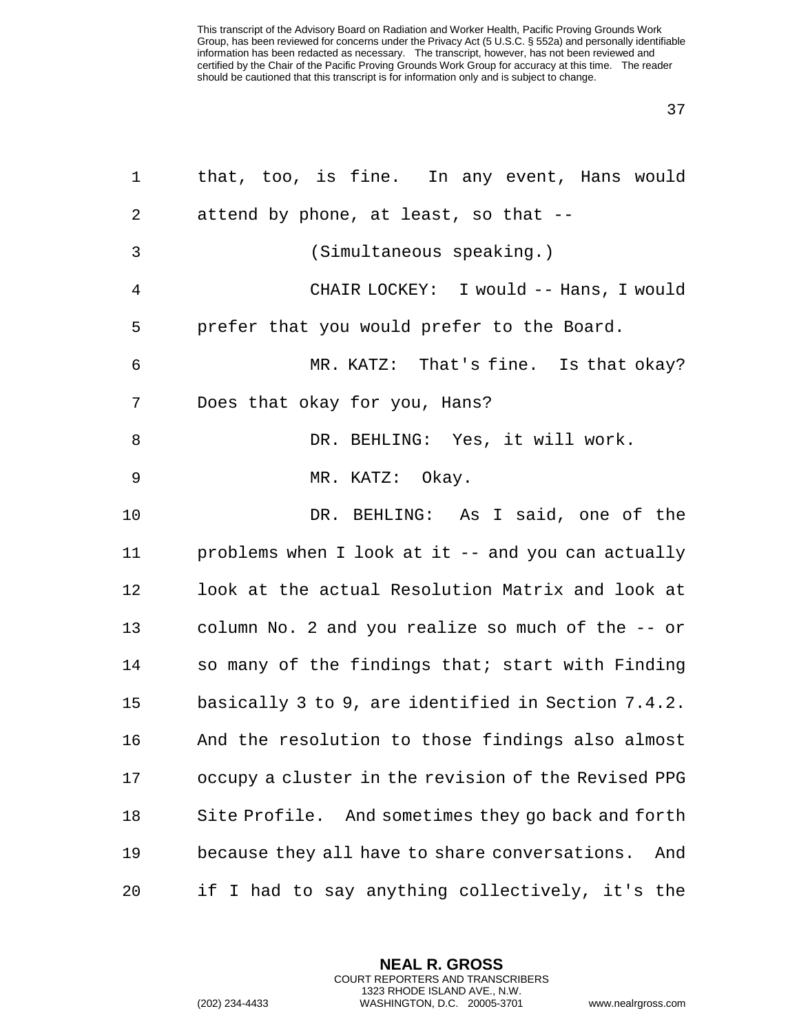| $\mathbf{1}$   | that, too, is fine. In any event, Hans would         |
|----------------|------------------------------------------------------|
| 2              | attend by phone, at least, so that --                |
| 3              | (Simultaneous speaking.)                             |
| $\overline{4}$ | CHAIR LOCKEY: I would -- Hans, I would               |
| 5              | prefer that you would prefer to the Board.           |
| 6              | MR. KATZ: That's fine. Is that okay?                 |
| 7              | Does that okay for you, Hans?                        |
| 8              | DR. BEHLING: Yes, it will work.                      |
| 9              | MR. KATZ: Okay.                                      |
| 10             | DR. BEHLING: As I said, one of the                   |
| 11             | problems when I look at it -- and you can actually   |
| 12             | look at the actual Resolution Matrix and look at     |
| 13             | column No. 2 and you realize so much of the -- or    |
| 14             | so many of the findings that; start with Finding     |
| 15             | basically 3 to 9, are identified in Section 7.4.2.   |
| 16             | And the resolution to those findings also almost     |
| 17             | occupy a cluster in the revision of the Revised PPG  |
| 18             | Site Profile. And sometimes they go back and forth   |
| 19             | because they all have to share conversations.<br>And |
| 20             | if I had to say anything collectively, it's the      |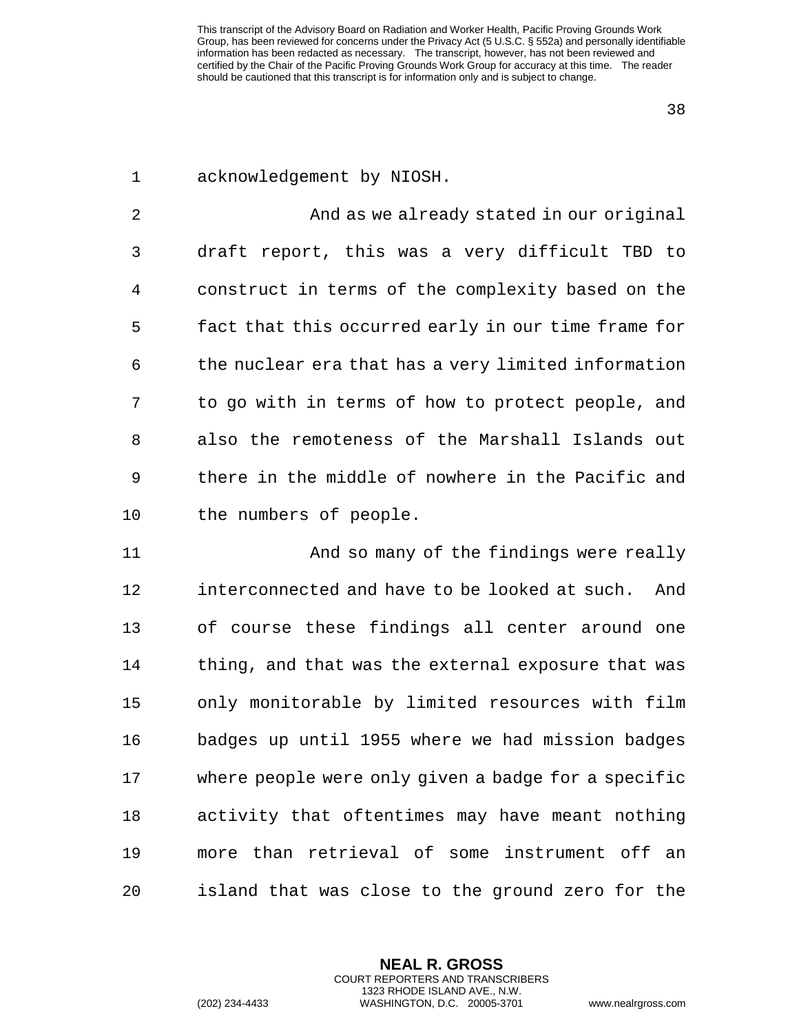acknowledgement by NIOSH.

 And as we already stated in our original draft report, this was a very difficult TBD to construct in terms of the complexity based on the fact that this occurred early in our time frame for the nuclear era that has a very limited information to go with in terms of how to protect people, and also the remoteness of the Marshall Islands out there in the middle of nowhere in the Pacific and the numbers of people.

 And so many of the findings were really interconnected and have to be looked at such. And of course these findings all center around one thing, and that was the external exposure that was only monitorable by limited resources with film badges up until 1955 where we had mission badges where people were only given a badge for a specific activity that oftentimes may have meant nothing more than retrieval of some instrument off an island that was close to the ground zero for the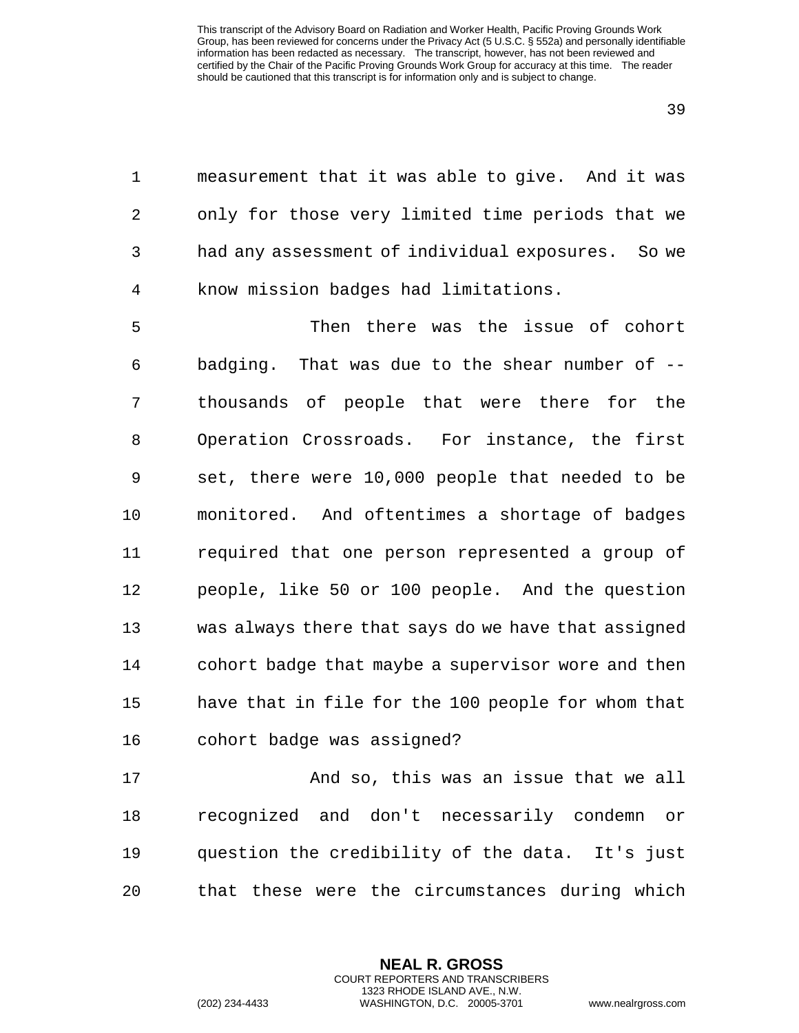1 measurement that it was able to give. And it was 2 only for those very limited time periods that we 3 had any assessment of individual exposures. So we 4 know mission badges had limitations.

5 Then there was the issue of cohort 6 badging. That was due to the shear number of -- 7 thousands of people that were there for the 8 Operation Crossroads. For instance, the first 9 set, there were 10,000 people that needed to be 10 monitored. And oftentimes a shortage of badges 11 required that one person represented a group of 12 people, like 50 or 100 people. And the question 13 was always there that says do we have that assigned 14 cohort badge that maybe a supervisor wore and then 15 have that in file for the 100 people for whom that 16 cohort badge was assigned?

17 And so, this was an issue that we all 18 recognized and don't necessarily condemn or 19 question the credibility of the data. It's just 20 that these were the circumstances during which

> **NEAL R. GROSS** COURT REPORTERS AND TRANSCRIBERS 1323 RHODE ISLAND AVE., N.W.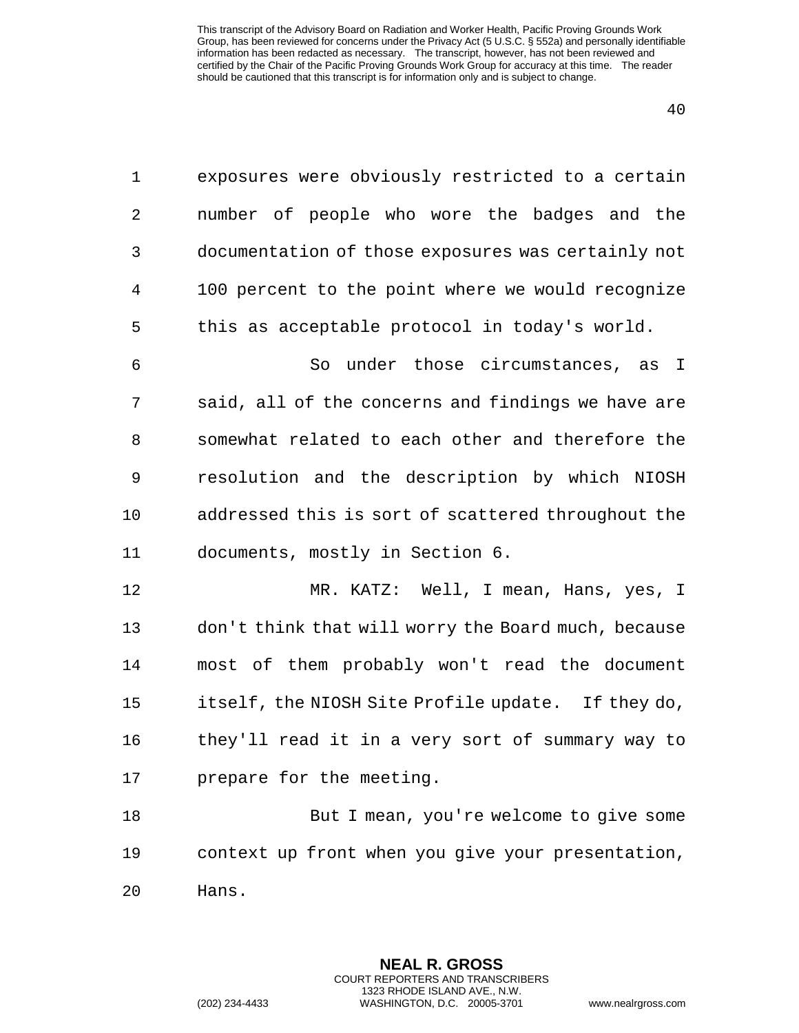| $\mathbf 1$ | exposures were obviously restricted to a certain    |
|-------------|-----------------------------------------------------|
| 2           | number of people who wore the badges and the        |
| 3           | documentation of those exposures was certainly not  |
| 4           | 100 percent to the point where we would recognize   |
| 5           | this as acceptable protocol in today's world.       |
| 6           | So under those circumstances, as I                  |
| 7           | said, all of the concerns and findings we have are  |
| 8           | somewhat related to each other and therefore the    |
| 9           | resolution and the description by which NIOSH       |
| 10          | addressed this is sort of scattered throughout the  |
| 11          | documents, mostly in Section 6.                     |
| 12          | MR. KATZ: Well, I mean, Hans, yes, I                |
| 13          | don't think that will worry the Board much, because |
| 14          | most of them probably won't read the document       |

15 itself, the NIOSH Site Profile update. If they do, 16 they'll read it in a very sort of summary way to 17 prepare for the meeting.

18 But I mean, you're welcome to give some 19 context up front when you give your presentation, 20 Hans.

> **NEAL R. GROSS** COURT REPORTERS AND TRANSCRIBERS 1323 RHODE ISLAND AVE., N.W.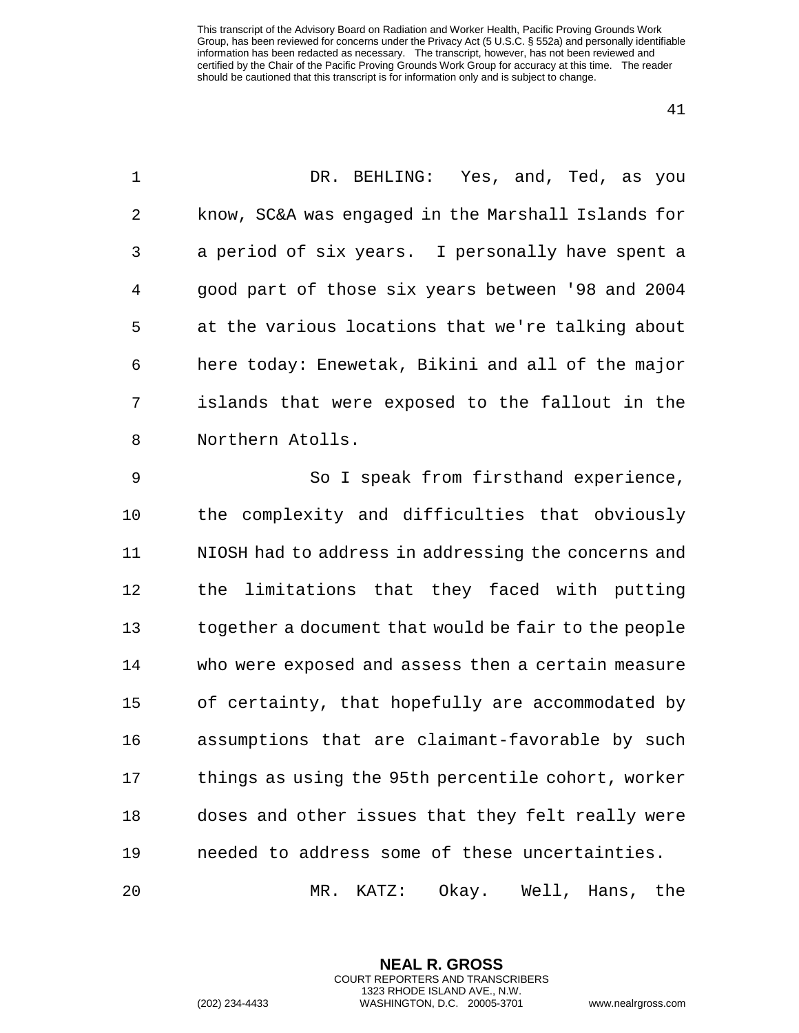| $\mathbf 1$ | DR. BEHLING: Yes, and, Ted, as you                   |
|-------------|------------------------------------------------------|
| 2           | know, SC&A was engaged in the Marshall Islands for   |
| 3           | a period of six years. I personally have spent a     |
| 4           | good part of those six years between '98 and 2004    |
| 5           | at the various locations that we're talking about    |
| 6           | here today: Enewetak, Bikini and all of the major    |
| 7           | islands that were exposed to the fallout in the      |
| 8           | Northern Atolls.                                     |
| $\mathsf 9$ | So I speak from firsthand experience,                |
| 10          | the complexity and difficulties that obviously       |
| 11          | NIOSH had to address in addressing the concerns and  |
| 12          | limitations that they faced with putting<br>the      |
| 13          | together a document that would be fair to the people |
| 14          | who were exposed and assess then a certain measure   |
| 15          | of certainty, that hopefully are accommodated by     |
| 16          | assumptions that are claimant-favorable by such      |
| 17          | things as using the 95th percentile cohort, worker   |
| 18          | doses and other issues that they felt really were    |
| 19          | needed to address some of these uncertainties.       |
|             |                                                      |

MR. KATZ: Okay. Well, Hans, the

**NEAL R. GROSS** COURT REPORTERS AND TRANSCRIBERS 1323 RHODE ISLAND AVE., N.W.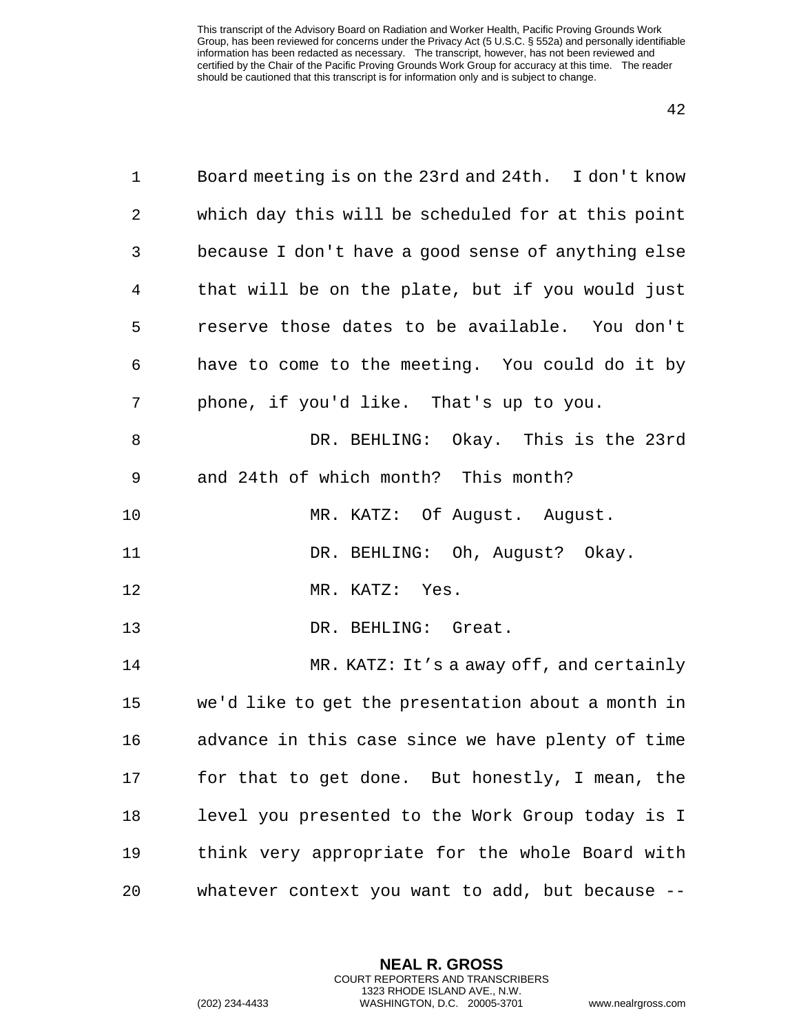| 1  | Board meeting is on the 23rd and 24th. I don't know |
|----|-----------------------------------------------------|
| 2  | which day this will be scheduled for at this point  |
| 3  | because I don't have a good sense of anything else  |
| 4  | that will be on the plate, but if you would just    |
| 5  | reserve those dates to be available. You don't      |
| 6  | have to come to the meeting. You could do it by     |
| 7  | phone, if you'd like. That's up to you.             |
| 8  | DR. BEHLING: Okay. This is the 23rd                 |
| 9  | and 24th of which month? This month?                |
| 10 | MR. KATZ: Of August. August.                        |
| 11 | DR. BEHLING: Oh, August? Okay.                      |
| 12 | MR. KATZ: Yes.                                      |
| 13 | DR. BEHLING: Great.                                 |
| 14 | MR. KATZ: It's a away off, and certainly            |
| 15 | we'd like to get the presentation about a month in  |
| 16 | advance in this case since we have plenty of time   |
| 17 | for that to get done. But honestly, I mean, the     |
| 18 | level you presented to the Work Group today is I    |
| 19 | think very appropriate for the whole Board with     |
| 20 | whatever context you want to add, but because --    |

**NEAL R. GROSS** COURT REPORTERS AND TRANSCRIBERS 1323 RHODE ISLAND AVE., N.W.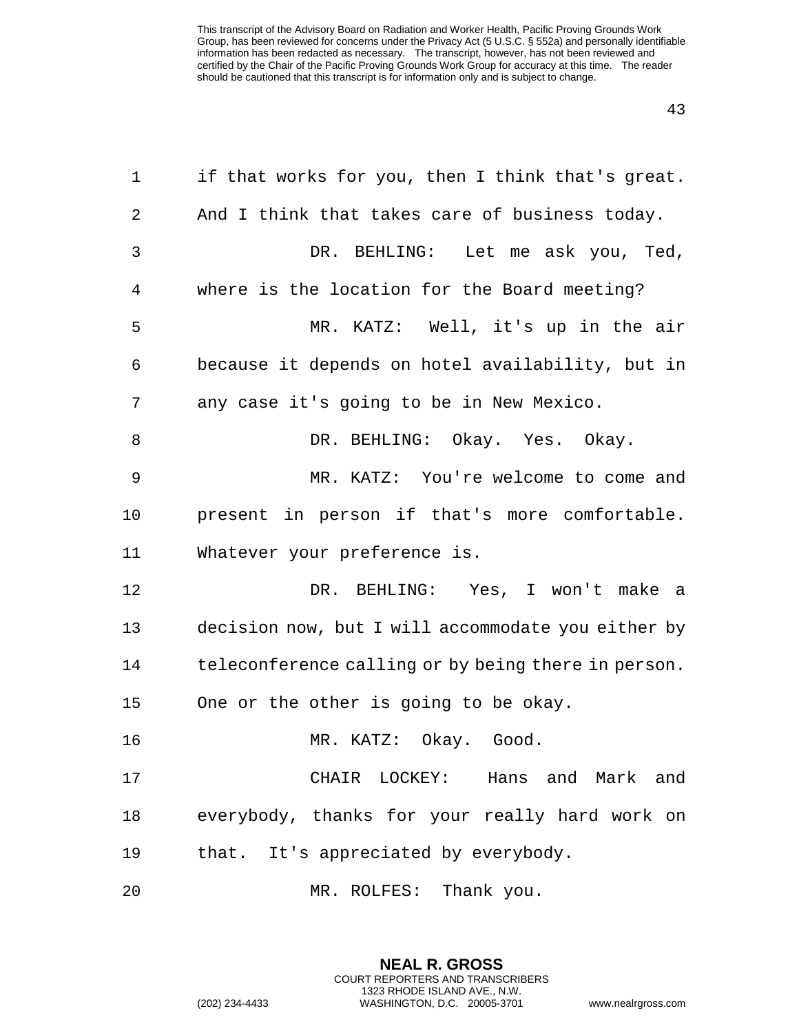| 1  | if that works for you, then I think that's great.   |
|----|-----------------------------------------------------|
| 2  | And I think that takes care of business today.      |
| 3  | DR. BEHLING: Let me ask you, Ted,                   |
| 4  | where is the location for the Board meeting?        |
| 5  | MR. KATZ: Well, it's up in the air                  |
| 6  | because it depends on hotel availability, but in    |
| 7  | any case it's going to be in New Mexico.            |
| 8  | DR. BEHLING: Okay. Yes. Okay.                       |
| 9  | MR. KATZ: You're welcome to come and                |
| 10 | present in person if that's more comfortable.       |
| 11 | Whatever your preference is.                        |
| 12 | DR. BEHLING: Yes, I won't make a                    |
| 13 | decision now, but I will accommodate you either by  |
| 14 | teleconference calling or by being there in person. |
| 15 | One or the other is going to be okay.               |
| 16 | MR. KATZ: Okay. Good.                               |
| 17 | CHAIR LOCKEY: Hans and Mark and                     |
| 18 | everybody, thanks for your really hard work on      |
| 19 | that. It's appreciated by everybody.                |
| 20 | MR. ROLFES: Thank you.                              |

**NEAL R. GROSS** COURT REPORTERS AND TRANSCRIBERS 1323 RHODE ISLAND AVE., N.W.